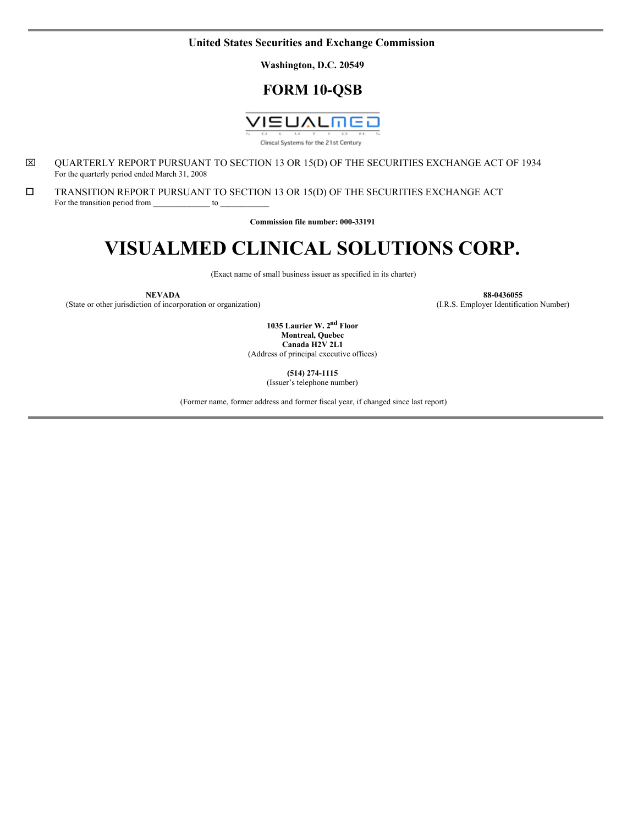# **United States Securities and Exchange Commission**

**Washington, D.C. 20549**

# **FORM 10-QSB**



x QUARTERLY REPORT PURSUANT TO SECTION 13 OR 15(D) OF THE SECURITIES EXCHANGE ACT OF 1934 For the quarterly period ended March 31, 2008

 $\square$  TRANSITION REPORT PURSUANT TO SECTION 13 OR 15(D) OF THE SECURITIES EXCHANGE ACT For the transition period from \_\_\_\_\_\_\_\_\_\_\_\_\_\_ to \_\_\_\_\_\_\_\_\_\_\_\_

**Commission file number: 000-33191**

# **VISUALMED CLINICAL SOLUTIONS CORP.**

(Exact name of small business issuer as specified in its charter)

(State or other jurisdiction of incorporation or organization) (I.R.S. Employer Identification Number)

**NEVADA 88-0436055**

**1035 Laurier W. 2 nd Floor Montreal, Quebec Canada H2V 2L1** (Address of principal executive offices)

> **(514) 274-1115** (Issuer's telephone number)

(Former name, former address and former fiscal year, if changed since last report)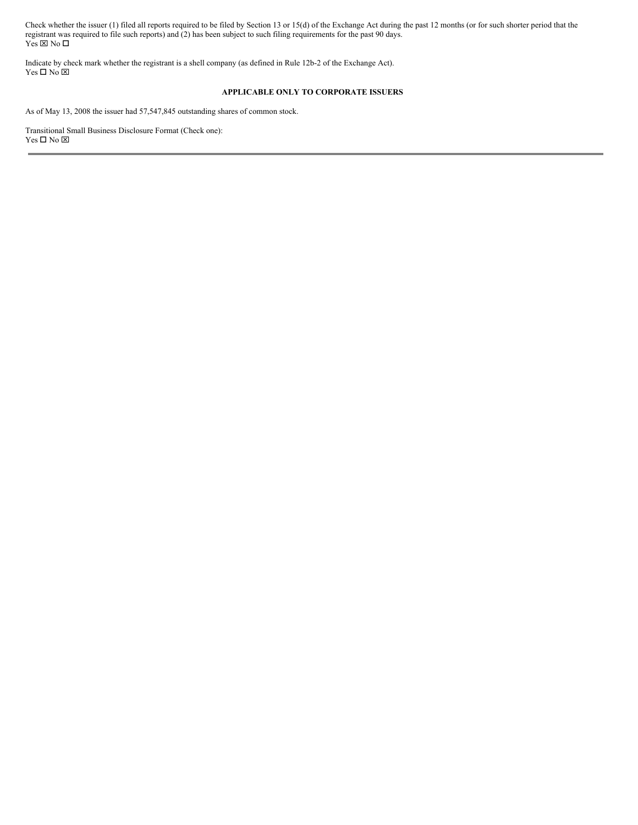Check whether the issuer (1) filed all reports required to be filed by Section 13 or 15(d) of the Exchange Act during the past 12 months (or for such shorter period that the registrant was required to file such reports) and (2) has been subject to such filing requirements for the past 90 days.  $Yes \boxtimes No \square$ 

Indicate by check mark whether the registrant is a shell company (as defined in Rule 12b-2 of the Exchange Act).  $Yes \Box No \Box$ 

# **APPLICABLE ONLY TO CORPORATE ISSUERS**

As of May 13, 2008 the issuer had 57,547,845 outstanding shares of common stock.

Transitional Small Business Disclosure Format (Check one):  $Yes \Box No \boxtimes$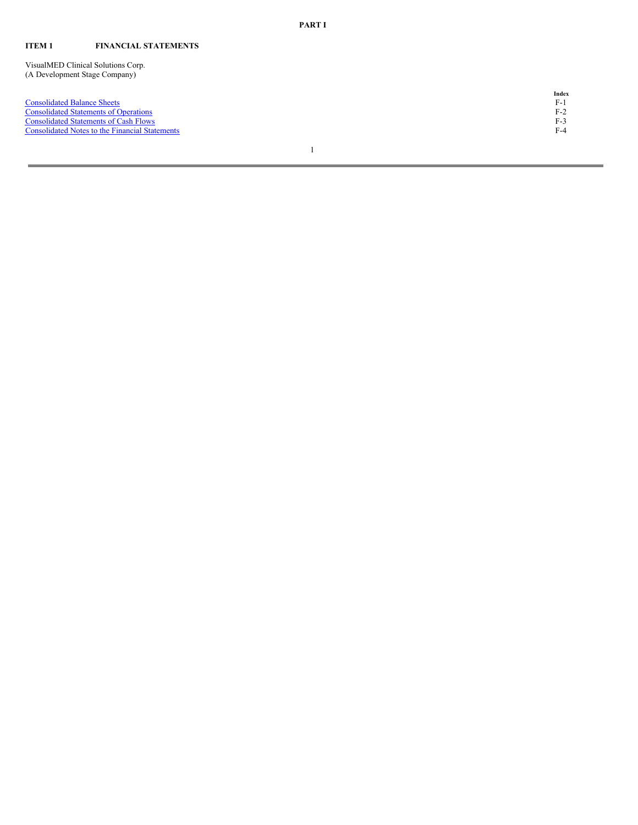#### **I T E M 1 FINANCIAL STATEMENTS**

VisualMED Clinical Solutions Corp. (A Development Stage Company)

|                                                       | Index |
|-------------------------------------------------------|-------|
| <b>Consolidated Balance Sheets</b>                    | F-1   |
| <b>Consolidated Statements of Operations</b>          | $F-2$ |
| <b>Consolidated Statements of Cash Flows</b>          | $F-3$ |
| <b>Consolidated Notes to the Financial Statements</b> | $F-4$ |
|                                                       |       |
|                                                       |       |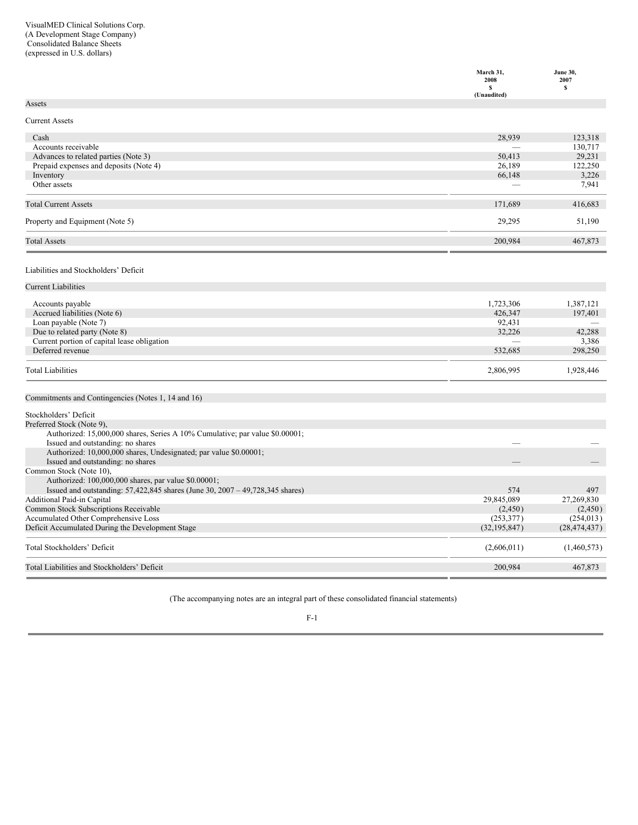<span id="page-3-0"></span>

|                                                                               | March 31,<br>2008<br>(Unaudited) | <b>June 30.</b><br>2007<br>s |
|-------------------------------------------------------------------------------|----------------------------------|------------------------------|
| Assets                                                                        |                                  |                              |
| <b>Current Assets</b>                                                         |                                  |                              |
| Cash                                                                          | 28.939                           | 123,318                      |
| Accounts receivable                                                           |                                  | 130,717                      |
| Advances to related parties (Note 3)                                          | 50,413                           | 29,231                       |
| Prepaid expenses and deposits (Note 4)                                        | 26,189                           | 122,250                      |
| Inventory                                                                     | 66,148                           | 3,226                        |
| Other assets                                                                  |                                  | 7,941                        |
| <b>Total Current Assets</b>                                                   | 171,689                          | 416,683                      |
| Property and Equipment (Note 5)                                               | 29,295                           | 51,190                       |
| <b>Total Assets</b>                                                           | 200,984                          | 467,873                      |
| Liabilities and Stockholders' Deficit                                         |                                  |                              |
| <b>Current Liabilities</b>                                                    |                                  |                              |
|                                                                               | 1,723,306                        | 1,387,121                    |
| Accounts payable<br>Accrued liabilities (Note 6)                              | 426,347                          | 197,401                      |
| Loan payable (Note 7)                                                         | 92,431                           |                              |
| Due to related party (Note 8)                                                 | 32,226                           | 42,288                       |
| Current portion of capital lease obligation                                   |                                  | 3,386                        |
| Deferred revenue                                                              | 532,685                          | 298,250                      |
| <b>Total Liabilities</b>                                                      | 2,806,995                        | 1,928,446                    |
| Commitments and Contingencies (Notes 1, 14 and 16)                            |                                  |                              |
| Stockholders' Deficit                                                         |                                  |                              |
| Preferred Stock (Note 9),                                                     |                                  |                              |
| Authorized: 15,000,000 shares, Series A 10% Cumulative; par value \$0.00001;  |                                  |                              |
| Issued and outstanding: no shares                                             |                                  |                              |
| Authorized: 10,000,000 shares, Undesignated; par value \$0.00001;             |                                  |                              |
| Issued and outstanding: no shares                                             |                                  |                              |
| Common Stock (Note 10),                                                       |                                  |                              |
| Authorized: 100,000,000 shares, par value \$0.00001;                          |                                  |                              |
| Issued and outstanding: 57,422,845 shares (June 30, 2007 - 49,728,345 shares) | 574                              | 497                          |
| Additional Paid-in Capital                                                    | 29,845,089                       | 27,269,830                   |
| Common Stock Subscriptions Receivable<br>Accumulated Other Comprehensive Loss | (2, 450)<br>(253, 377)           | (2,450)<br>(254, 013)        |
| Deficit Accumulated During the Development Stage                              | (32, 195, 847)                   | (28, 474, 437)               |
| Total Stockholders' Deficit                                                   | (2,606,011)                      | (1,460,573)                  |
|                                                                               |                                  |                              |
| Total Liabilities and Stockholders' Deficit                                   | 200,984                          | 467,873                      |

(The accompanying notes are an integral part of these consolidated financial statements)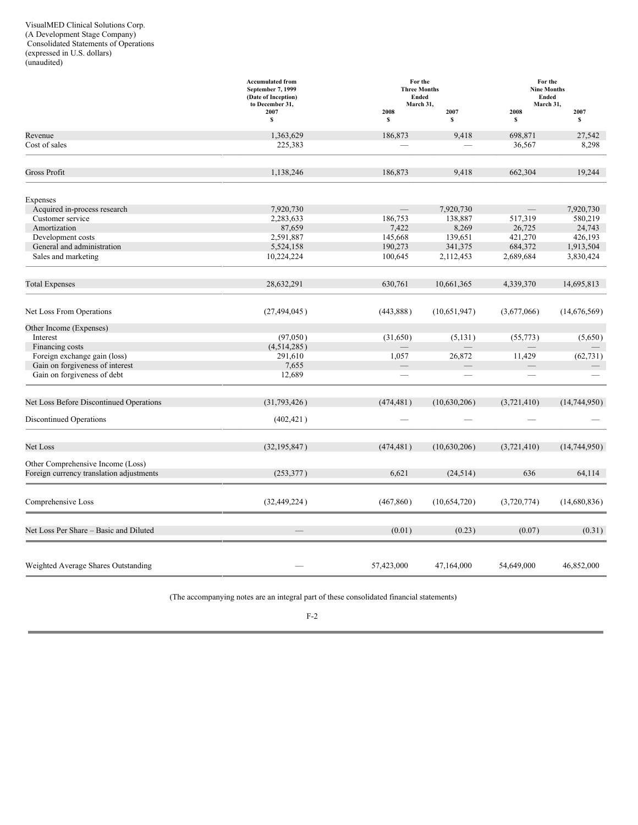<span id="page-4-0"></span>

|                                          | <b>Accumulated from</b><br>September 7, 1999<br>(Date of Inception)<br>to December 31, | For the<br><b>Three Months</b><br><b>Ended</b><br>March 31, |              |             | <b>Nine Months</b><br>Ended<br>March 31, |  |  | For the |  |
|------------------------------------------|----------------------------------------------------------------------------------------|-------------------------------------------------------------|--------------|-------------|------------------------------------------|--|--|---------|--|
|                                          | 2007<br>s                                                                              | 2008<br>s                                                   | 2007<br>s    | 2008<br>S   | 2007<br>s                                |  |  |         |  |
| Revenue                                  | 1,363,629                                                                              | 186,873                                                     | 9.418        | 698,871     | 27,542                                   |  |  |         |  |
| Cost of sales                            | 225,383                                                                                |                                                             |              | 36,567      | 8,298                                    |  |  |         |  |
| <b>Gross Profit</b>                      | 1,138,246                                                                              | 186,873                                                     | 9,418        | 662,304     | 19,244                                   |  |  |         |  |
| Expenses                                 |                                                                                        |                                                             |              |             |                                          |  |  |         |  |
| Acquired in-process research             | 7,920,730                                                                              |                                                             | 7,920,730    |             | 7,920,730                                |  |  |         |  |
| Customer service                         | 2,283,633                                                                              | 186,753                                                     | 138,887      | 517,319     | 580,219                                  |  |  |         |  |
| Amortization                             | 87,659                                                                                 | 7,422                                                       | 8,269        | 26,725      | 24,743                                   |  |  |         |  |
| Development costs                        | 2,591,887                                                                              | 145,668                                                     | 139,651      | 421,270     | 426,193                                  |  |  |         |  |
| General and administration               | 5,524,158                                                                              | 190,273                                                     | 341,375      | 684,372     | 1,913,504                                |  |  |         |  |
| Sales and marketing                      | 10,224,224                                                                             | 100,645                                                     | 2,112,453    | 2,689,684   | 3,830,424                                |  |  |         |  |
| <b>Total Expenses</b>                    | 28,632,291                                                                             | 630,761                                                     | 10,661,365   | 4,339,370   | 14,695,813                               |  |  |         |  |
| Net Loss From Operations                 | (27, 494, 045)                                                                         | (443,888)                                                   | (10,651,947) | (3,677,066) | (14,676,569)                             |  |  |         |  |
| Other Income (Expenses)                  |                                                                                        |                                                             |              |             |                                          |  |  |         |  |
| Interest                                 | (97,050)                                                                               | (31,650)                                                    | (5, 131)     | (55,773)    | (5,650)                                  |  |  |         |  |
| Financing costs                          | (4,514,285)                                                                            |                                                             |              |             |                                          |  |  |         |  |
| Foreign exchange gain (loss)             | 291,610                                                                                | 1,057                                                       | 26,872       | 11,429      | (62, 731)                                |  |  |         |  |
| Gain on forgiveness of interest          | 7,655                                                                                  |                                                             |              |             |                                          |  |  |         |  |
| Gain on forgiveness of debt              | 12,689                                                                                 |                                                             |              |             |                                          |  |  |         |  |
| Net Loss Before Discontinued Operations  | (31,793,426)                                                                           | (474, 481)                                                  | (10,630,206) | (3,721,410) | (14,744,950)                             |  |  |         |  |
| <b>Discontinued Operations</b>           | (402, 421)                                                                             |                                                             |              |             |                                          |  |  |         |  |
| Net Loss                                 | (32, 195, 847)                                                                         | (474, 481)                                                  | (10,630,206) | (3,721,410) | (14,744,950)                             |  |  |         |  |
|                                          |                                                                                        |                                                             |              |             |                                          |  |  |         |  |
| Other Comprehensive Income (Loss)        |                                                                                        |                                                             |              |             |                                          |  |  |         |  |
| Foreign currency translation adjustments | (253, 377)                                                                             | 6,621                                                       | (24, 514)    | 636         | 64,114                                   |  |  |         |  |
| Comprehensive Loss                       | (32, 449, 224)                                                                         | (467, 860)                                                  | (10,654,720) | (3,720,774) | (14,680,836)                             |  |  |         |  |
| Net Loss Per Share - Basic and Diluted   | $\overline{\phantom{0}}$                                                               | (0.01)                                                      | (0.23)       | (0.07)      | (0.31)                                   |  |  |         |  |
|                                          |                                                                                        |                                                             | 47,164,000   | 54,649,000  | 46,852,000                               |  |  |         |  |
| Weighted Average Shares Outstanding      |                                                                                        | 57,423,000                                                  |              |             |                                          |  |  |         |  |

(The accompanying notes are an integral part of these consolidated financial statements)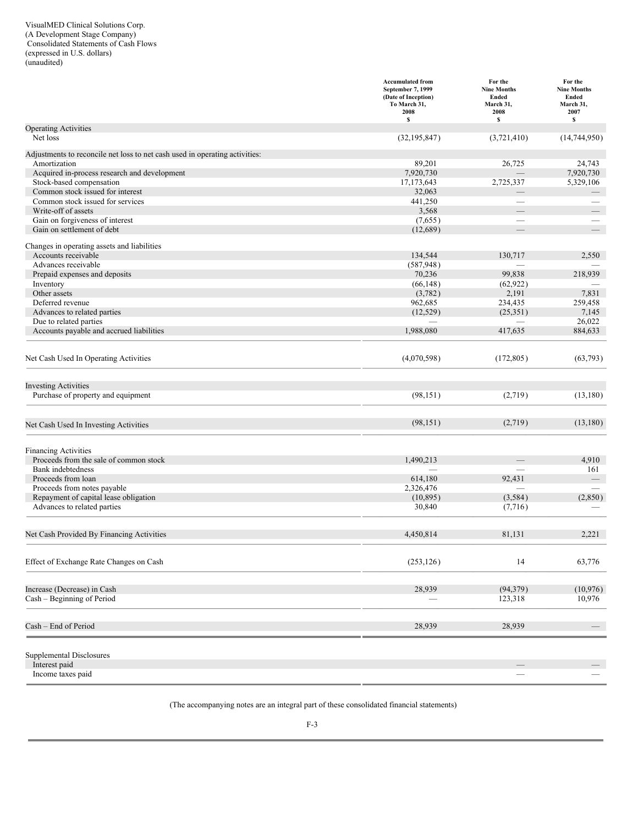<span id="page-5-0"></span>

|                                                                             | <b>Accumulated from</b><br>September 7, 1999<br>(Date of Inception)<br>To March 31,<br>2008<br>S | For the<br><b>Nine Months</b><br>Ended<br>March 31,<br>2008<br>s | For the<br><b>Nine Months</b><br>Ended<br>March 31,<br>2007<br>\$ |
|-----------------------------------------------------------------------------|--------------------------------------------------------------------------------------------------|------------------------------------------------------------------|-------------------------------------------------------------------|
| <b>Operating Activities</b>                                                 |                                                                                                  |                                                                  |                                                                   |
| Net loss                                                                    | (32, 195, 847)                                                                                   | (3,721,410)                                                      | (14,744,950)                                                      |
| Adjustments to reconcile net loss to net cash used in operating activities: |                                                                                                  |                                                                  |                                                                   |
| Amortization                                                                | 89,201                                                                                           | 26,725                                                           | 24,743                                                            |
| Acquired in-process research and development                                | 7,920,730                                                                                        |                                                                  | 7,920,730                                                         |
| Stock-based compensation                                                    | 17,173,643                                                                                       | 2,725,337                                                        | 5,329,106                                                         |
| Common stock issued for interest                                            | 32,063                                                                                           |                                                                  |                                                                   |
| Common stock issued for services                                            | 441,250                                                                                          | $\overline{\phantom{m}}$<br>$\overline{\phantom{0}}$             |                                                                   |
| Write-off of assets                                                         | 3,568                                                                                            |                                                                  | $\overline{\phantom{0}}$                                          |
| Gain on forgiveness of interest<br>Gain on settlement of debt               | (7,655)<br>(12,689)                                                                              | $\overline{\phantom{m}}$<br>$\overline{\phantom{0}}$             |                                                                   |
|                                                                             |                                                                                                  |                                                                  |                                                                   |
| Changes in operating assets and liabilities<br>Accounts receivable          |                                                                                                  | 130,717                                                          |                                                                   |
| Advances receivable                                                         | 134,544<br>(587, 948)                                                                            |                                                                  | 2,550                                                             |
| Prepaid expenses and deposits                                               | 70,236                                                                                           | 99,838                                                           | 218,939                                                           |
| Inventory                                                                   | (66, 148)                                                                                        | (62, 922)                                                        |                                                                   |
| Other assets                                                                | (3,782)                                                                                          | 2,191                                                            | 7,831                                                             |
| Deferred revenue                                                            | 962,685                                                                                          | 234,435                                                          | 259,458                                                           |
| Advances to related parties                                                 | (12, 529)                                                                                        | (25, 351)                                                        | 7,145                                                             |
| Due to related parties                                                      |                                                                                                  |                                                                  | 26,022                                                            |
| Accounts payable and accrued liabilities                                    | 1,988,080                                                                                        | 417,635                                                          | 884,633                                                           |
| Net Cash Used In Operating Activities<br><b>Investing Activities</b>        | (4,070,598)                                                                                      | (172, 805)                                                       | (63,793)                                                          |
| Purchase of property and equipment                                          | (98, 151)                                                                                        | (2,719)                                                          | (13, 180)                                                         |
| Net Cash Used In Investing Activities                                       | (98, 151)                                                                                        | (2,719)                                                          | (13,180)                                                          |
| <b>Financing Activities</b>                                                 |                                                                                                  |                                                                  |                                                                   |
| Proceeds from the sale of common stock                                      | 1,490,213                                                                                        | $\overline{\phantom{0}}$                                         | 4,910                                                             |
| <b>Bank</b> indebtedness                                                    |                                                                                                  |                                                                  | 161                                                               |
| Proceeds from loan                                                          | 614,180                                                                                          | 92,431                                                           |                                                                   |
| Proceeds from notes payable                                                 | 2,326,476                                                                                        |                                                                  |                                                                   |
| Repayment of capital lease obligation                                       | (10, 895)                                                                                        | (3,584)                                                          | (2,850)                                                           |
| Advances to related parties                                                 | 30,840                                                                                           | (7,716)                                                          |                                                                   |
| Net Cash Provided By Financing Activities                                   | 4,450,814                                                                                        | 81,131                                                           | 2,221                                                             |
| Effect of Exchange Rate Changes on Cash                                     | (253, 126)                                                                                       | 14                                                               | 63,776                                                            |
| Increase (Decrease) in Cash                                                 | 28,939                                                                                           | (94, 379)                                                        | (10,976)                                                          |
| Cash - Beginning of Period                                                  | $\overline{\phantom{0}}$                                                                         | 123,318                                                          | 10,976                                                            |
| Cash – End of Period                                                        | 28,939                                                                                           | 28,939                                                           | $\overbrace{\phantom{13333}}$                                     |
| Supplemental Disclosures                                                    |                                                                                                  |                                                                  |                                                                   |
| Interest paid<br>Income taxes paid                                          |                                                                                                  |                                                                  |                                                                   |

(The accompanying notes are an integral part of these consolidated financial statements)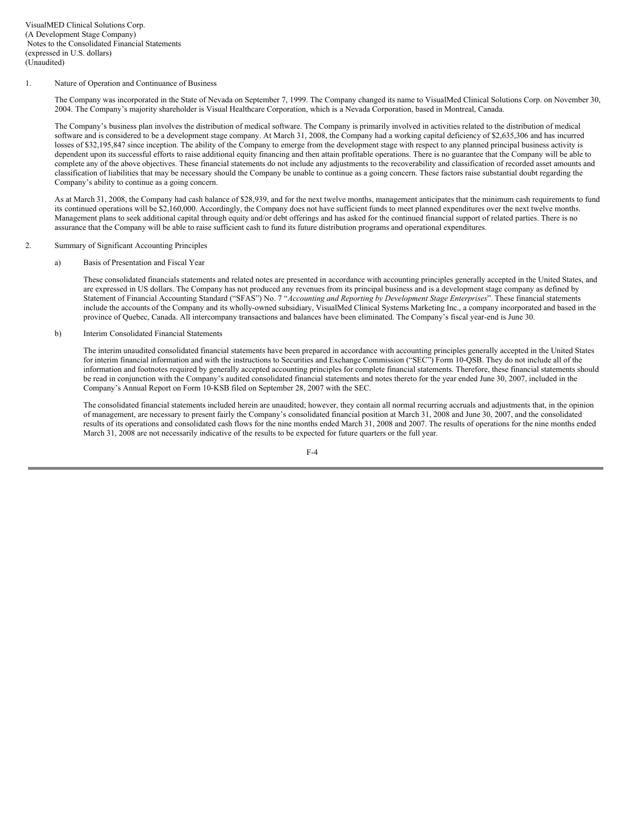## <span id="page-6-0"></span>1. Nature of Operation and Continuance of Business

The Company was incorporated in the State of Nevada on September 7, 1999. The Company changed its name to VisualMed Clinical Solutions Corp. on November 30, 2004. The Company's majority shareholder is Visual Healthcare Corporation, which is a Nevada Corporation, based in Montreal, Canada.

The Company's business plan involves the distribution of medical software. The Company is primarily involved in activities related to the distribution of medical software and is considered to be a development stage company. At March 31, 2008, the Company had a working capital deficiency of \$2,635,306 and has incurred losses of \$32,195,847 since inception. The ability of the Company to emerge from the development stage with respect to any planned principal business activity is dependent upon its successful efforts to raise additional equity financing and then attain profitable operations. There is no guarantee that the Company will be able to complete any of the above objectives. These financial statements do not include any adjustments to the recoverability and classification of recorded asset amounts and classification of liabilities that may be necessary should the Company be unable to continue as a going concern. These factors raise substantial doubt regarding the Company's ability to continue as a going concern.

As at March 31, 2008, the Company had cash balance of \$28,939, and for the next twelve months, management anticipates that the minimum cash requirements to fund its continued operations will be \$2,160,000. Accordingly, the Company does not have sufficient funds to meet planned expenditures over the next twelve months. Management plans to seek additional capital through equity and/or debt offerings and has asked for the continued financial support of related parties. There is no assurance that the Company will be able to raise sufficient cash to fund its future distribution programs and operational expenditures.

#### 2. Summary of Significant Accounting Principles

#### a) Basis of Presentation and Fiscal Year

These consolidated financials statements and related notes are presented in accordance with accounting principles generally accepted in the United States, and are expressed in US dollars. The Company has not produced any revenues from its principal business and is a development stage company as defined by Statement of Financial Accounting Standard ("SFAS") No. 7 "*Accounting and Reporting by Development Stage Enterprises*". These financial statements include the accounts of the Company and its wholly-owned subsidiary, VisualMed Clinical Systems Marketing Inc., a company incorporated and based in the province of Quebec, Canada. All intercompany transactions and balances have been eliminated. The Company's fiscal year-end is June 30.

#### b) Interim Consolidated Financial Statements

The interim unaudited consolidated financial statements have been prepared in accordance with accounting principles generally accepted in the United States for interim financial information and with the instructions to Securities and Exchange Commission ("SEC") Form 10-QSB. They do not include all of the information and footnotes required by generally accepted accounting principles for complete financial statements. Therefore, these financial statements should be read in conjunction with the Company's audited consolidated financial statements and notes thereto for the year ended June 30, 2007, included in the Company's Annual Report on Form 10-KSB filed on September 28, 2007 with the SEC.

The consolidated financial statements included herein are unaudited; however, they contain all normal recurring accruals and adjustments that, in the opinion of management, are necessary to present fairly the Company's consolidated financial position at March 31, 2008 and June 30, 2007, and the consolidated results of its operations and consolidated cash flows for the nine months ended March 31, 2008 and 2007. The results of operations for the nine months ended March 31, 2008 are not necessarily indicative of the results to be expected for future quarters or the full year.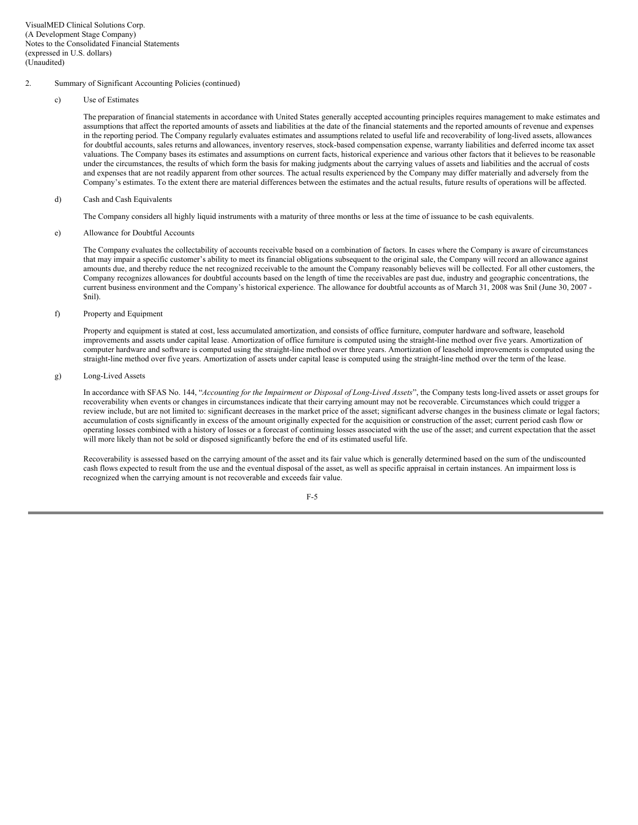#### 2. Summary of Significant Accounting Policies (continued)

c) Use of Estimates

The preparation of financial statements in accordance with United States generally accepted accounting principles requires management to make estimates and assumptions that affect the reported amounts of assets and liabilities at the date of the financial statements and the reported amounts of revenue and expenses in the reporting period. The Company regularly evaluates estimates and assumptions related to useful life and recoverability of long-lived assets, allowances for doubtful accounts, sales returns and allowances, inventory reserves, stock-based compensation expense, warranty liabilities and deferred income tax asset valuations. The Company bases its estimates and assumptions on current facts, historical experience and various other factors that it believes to be reasonable under the circumstances, the results of which form the basis for making judgments about the carrying values of assets and liabilities and the accrual of costs and expenses that are not readily apparent from other sources. The actual results experienced by the Company may differ materially and adversely from the Company's estimates. To the extent there are material differences between the estimates and the actual results, future results of operations will be affected.

d) Cash and Cash Equivalents

The Company considers all highly liquid instruments with a maturity of three months or less at the time of issuance to be cash equivalents.

e) Allowance for Doubtful Accounts

The Company evaluates the collectability of accounts receivable based on a combination of factors. In cases where the Company is aware of circumstances that may impair a specific customer's ability to meet its financial obligations subsequent to the original sale, the Company will record an allowance against amounts due, and thereby reduce the net recognized receivable to the amount the Company reasonably believes will be collected. For all other customers, the Company recognizes allowances for doubtful accounts based on the length of time the receivables are past due, industry and geographic concentrations, the current business environment and the Company's historical experience. The allowance for doubtful accounts as of March 31, 2008 was \$nil (June 30, 2007 - \$nil).

f) Property and Equipment

Property and equipment is stated at cost, less accumulated amortization, and consists of office furniture, computer hardware and software, leasehold improvements and assets under capital lease. Amortization of office furniture is computed using the straight-line method over five years. Amortization of computer hardware and software is computed using the straight-line method over three years. Amortization of leasehold improvements is computed using the straight-line method over five years. Amortization of assets under capital lease is computed using the straight-line method over the term of the lease.

g) Long-Lived Assets

In accordance with SFAS No. 144, "*Accounting for the Impairment or Disposal of Long-Lived Assets*", the Company tests long-lived assets or asset groups for recoverability when events or changes in circumstances indicate that their carrying amount may not be recoverable. Circumstances which could trigger a review include, but are not limited to: significant decreases in the market price of the asset; significant adverse changes in the business climate or legal factors; accumulation of costs significantly in excess of the amount originally expected for the acquisition or construction of the asset; current period cash flow or operating losses combined with a history of losses or a forecast of continuing losses associated with the use of the asset; and current expectation that the asset will more likely than not be sold or disposed significantly before the end of its estimated useful life.

Recoverability is assessed based on the carrying amount of the asset and its fair value which is generally determined based on the sum of the undiscounted cash flows expected to result from the use and the eventual disposal of the asset, as well as specific appraisal in certain instances. An impairment loss is recognized when the carrying amount is not recoverable and exceeds fair value.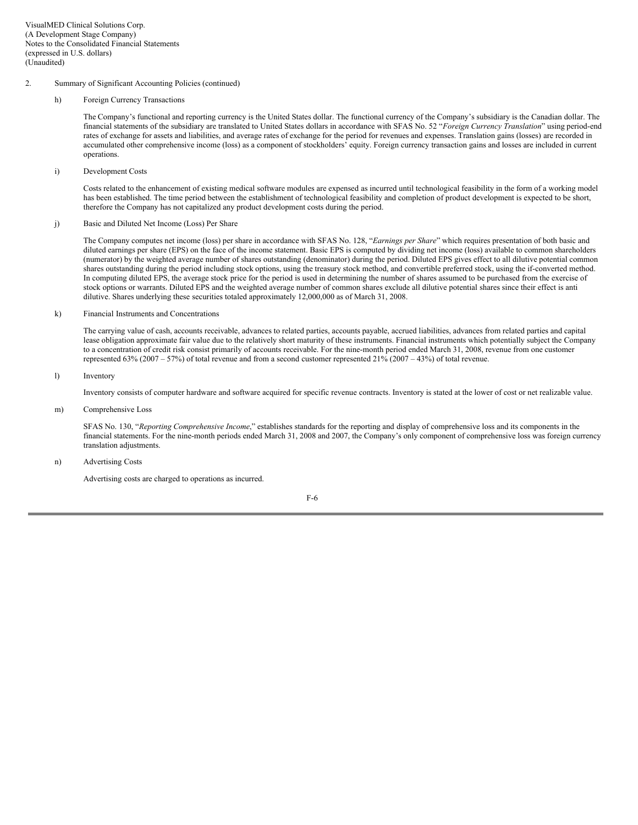# 2. Summary of Significant Accounting Policies (continued)

## h) Foreign Currency Transactions

The Company's functional and reporting currency is the United States dollar. The functional currency of the Company's subsidiary is the Canadian dollar. The financial statements of the subsidiary are translated to United States dollars in accordance with SFAS No. 52 "*Foreign Currency Translation*" using period-end rates of exchange for assets and liabilities, and average rates of exchange for the period for revenues and expenses. Translation gains (losses) are recorded in accumulated other comprehensive income (loss) as a component of stockholders' equity. Foreign currency transaction gains and losses are included in current operations.

i) Development Costs

Costs related to the enhancement of existing medical software modules are expensed as incurred until technological feasibility in the form of a working model has been established. The time period between the establishment of technological feasibility and completion of product development is expected to be short, therefore the Company has not capitalized any product development costs during the period.

## j) Basic and Diluted Net Income (Loss) Per Share

The Company computes net income (loss) per share in accordance with SFAS No. 128, "*Earnings per Share*" which requires presentation of both basic and diluted earnings per share (EPS) on the face of the income statement. Basic EPS is computed by dividing net income (loss) available to common shareholders (numerator) by the weighted average number of shares outstanding (denominator) during the period. Diluted EPS gives effect to all dilutive potential common shares outstanding during the period including stock options, using the treasury stock method, and convertible preferred stock, using the if-converted method. In computing diluted EPS, the average stock price for the period is used in determining the number of shares assumed to be purchased from the exercise of stock options or warrants. Diluted EPS and the weighted average number of common shares exclude all dilutive potential shares since their effect is anti dilutive. Shares underlying these securities totaled approximately 12,000,000 as of March 31, 2008.

## k) Financial Instruments and Concentrations

The carrying value of cash, accounts receivable, advances to related parties, accounts payable, accrued liabilities, advances from related parties and capital lease obligation approximate fair value due to the relatively short maturity of these instruments. Financial instruments which potentially subject the Company to a concentration of credit risk consist primarily of accounts receivable. For the nine-month period ended March 31, 2008, revenue from one customer represented 63% (2007 – 57%) of total revenue and from a second customer represented 21% (2007 – 43%) of total revenue.

#### l) Inventory

Inventory consists of computer hardware and software acquired for specific revenue contracts. Inventory is stated at the lower of cost or net realizable value.

m) Comprehensive Loss

SFAS No. 130, "*Reporting Comprehensive Income*," establishes standards for the reporting and display of comprehensive loss and its components in the financial statements. For the nine-month periods ended March 31, 2008 and 2007, the Company's only component of comprehensive loss was foreign currency translation adjustments.

## n) Advertising Costs

Advertising costs are charged to operations as incurred.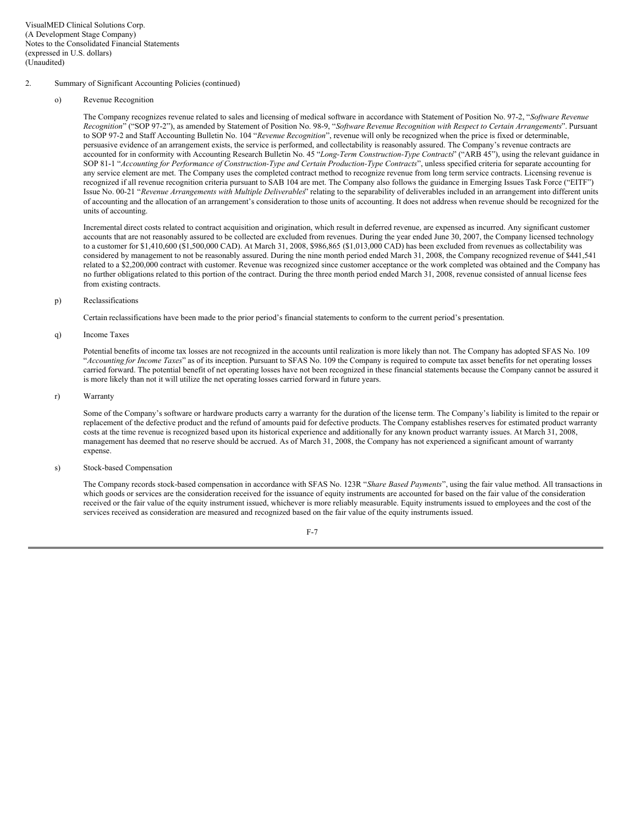## 2. Summary of Significant Accounting Policies (continued)

#### o) Revenue Recognition

The Company recognizes revenue related to sales and licensing of medical software in accordance with Statement of Position No. 97-2, "*Software Revenue Recognition*" ("SOP 97-2"), as amended by Statement of Position No. 98-9, "*Software Revenue Recognition with Respect to Certain Arrangements*". Pursuant to SOP 97-2 and Staff Accounting Bulletin No. 104 "*Revenue Recognition*", revenue will only be recognized when the price is fixed or determinable, persuasive evidence of an arrangement exists, the service is performed, and collectability is reasonably assured. The Company's revenue contracts are accounted for in conformity with Accounting Research Bulletin No. 45 "*Long-Term Construction-Type Contracts*" ("ARB 45"), using the relevant guidance in SOP 81-1 "*Accounting for Performance of Construction-Type and Certain Production-Type Contracts*", unless specified criteria for separate accounting for any service element are met. The Company uses the completed contract method to recognize revenue from long term service contracts. Licensing revenue is recognized if all revenue recognition criteria pursuant to SAB 104 are met. The Company also follows the guidance in Emerging Issues Task Force ("EITF") Issue No. 00-21 "*Revenue Arrangements with Multiple Deliverables*" relating to the separability of deliverables included in an arrangement into different units of accounting and the allocation of an arrangement's consideration to those units of accounting. It does not address when revenue should be recognized for the units of accounting.

Incremental direct costs related to contract acquisition and origination, which result in deferred revenue, are expensed as incurred. Any significant customer accounts that are not reasonably assured to be collected are excluded from revenues. During the year ended June 30, 2007, the Company licensed technology to a customer for \$1,410,600 (\$1,500,000 CAD). At March 31, 2008, \$986,865 (\$1,013,000 CAD) has been excluded from revenues as collectability was considered by management to not be reasonably assured. During the nine month period ended March 31, 2008, the Company recognized revenue of \$441,541 related to a \$2,200,000 contract with customer. Revenue was recognized since customer acceptance or the work completed was obtained and the Company has no further obligations related to this portion of the contract. During the three month period ended March 31, 2008, revenue consisted of annual license fees from existing contracts.

## p) Reclassifications

Certain reclassifications have been made to the prior period's financial statements to conform to the current period's presentation.

#### q) Income Taxes

Potential benefits of income tax losses are not recognized in the accounts until realization is more likely than not. The Company has adopted SFAS No. 109 "*Accounting for Income Taxes*" as of its inception. Pursuant to SFAS No. 109 the Company is required to compute tax asset benefits for net operating losses carried forward. The potential benefit of net operating losses have not been recognized in these financial statements because the Company cannot be assured it is more likely than not it will utilize the net operating losses carried forward in future years.

#### r) Warranty

Some of the Company's software or hardware products carry a warranty for the duration of the license term. The Company's liability is limited to the repair or replacement of the defective product and the refund of amounts paid for defective products. The Company establishes reserves for estimated product warranty costs at the time revenue is recognized based upon its historical experience and additionally for any known product warranty issues. At March 31, 2008, management has deemed that no reserve should be accrued. As of March 31, 2008, the Company has not experienced a significant amount of warranty expense.

#### s) Stock-based Compensation

The Company records stock-based compensation in accordance with SFAS No. 123R "*Share Based Payments*", using the fair value method. All transactions in which goods or services are the consideration received for the issuance of equity instruments are accounted for based on the fair value of the consideration received or the fair value of the equity instrument issued, whichever is more reliably measurable. Equity instruments issued to employees and the cost of the services received as consideration are measured and recognized based on the fair value of the equity instruments issued.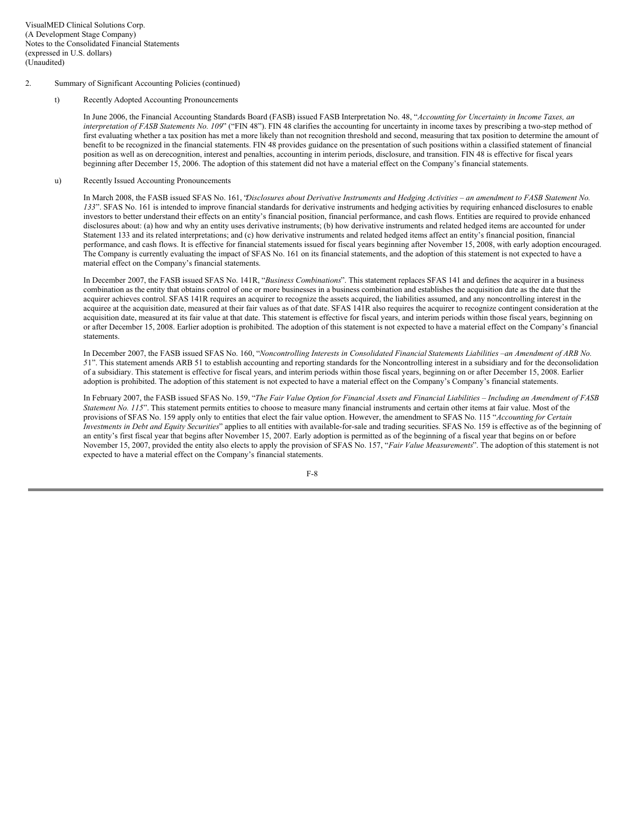## 2. Summary of Significant Accounting Policies (continued)

t) Recently Adopted Accounting Pronouncements

In June 2006, the Financial Accounting Standards Board (FASB) issued FASB Interpretation No. 48, "*Accounting for Uncertainty in Income Taxes, an interpretation of FASB Statements No. 109*" ("FIN 48"). FIN 48 clarifies the accounting for uncertainty in income taxes by prescribing a two-step method of first evaluating whether a tax position has met a more likely than not recognition threshold and second, measuring that tax position to determine the amount of benefit to be recognized in the financial statements. FIN 48 provides guidance on the presentation of such positions within a classified statement of financial position as well as on derecognition, interest and penalties, accounting in interim periods, disclosure, and transition. FIN 48 is effective for fiscal years beginning after December 15, 2006. The adoption of this statement did not have a material effect on the Company's financial statements.

#### u) Recently Issued Accounting Pronouncements

In March 2008, the FASB issued SFAS No. 161, 'Disclosures about Derivative Instruments and Hedging Activities - an amendment to FASB Statement No. *133*". SFAS No. 161 is intended to improve financial standards for derivative instruments and hedging activities by requiring enhanced disclosures to enable investors to better understand their effects on an entity's financial position, financial performance, and cash flows. Entities are required to provide enhanced disclosures about: (a) how and why an entity uses derivative instruments; (b) how derivative instruments and related hedged items are accounted for under Statement 133 and its related interpretations; and (c) how derivative instruments and related hedged items affect an entity's financial position, financial performance, and cash flows. It is effective for financial statements issued for fiscal years beginning after November 15, 2008, with early adoption encouraged. The Company is currently evaluating the impact of SFAS No. 161 on its financial statements, and the adoption of this statement is not expected to have a material effect on the Company's financial statements.

In December 2007, the FASB issued SFAS No. 141R, "*Business Combinations*". This statement replaces SFAS 141 and defines the acquirer in a business combination as the entity that obtains control of one or more businesses in a business combination and establishes the acquisition date as the date that the acquirer achieves control. SFAS 141R requires an acquirer to recognize the assets acquired, the liabilities assumed, and any noncontrolling interest in the acquiree at the acquisition date, measured at their fair values as of that date. SFAS 141R also requires the acquirer to recognize contingent consideration at the acquisition date, measured at its fair value at that date. This statement is effective for fiscal years, and interim periods within those fiscal years, beginning on or after December 15, 2008. Earlier adoption is prohibited. The adoption of this statement is not expected to have a material effect on the Company's financial statements.

In December 2007, the FASB issued SFAS No. 160, "Noncontrolling Interests in Consolidated Financial Statements Liabilities -an Amendment of ARB No. *5*1". This statement amends ARB 51 to establish accounting and reporting standards for the Noncontrolling interest in a subsidiary and for the deconsolidation of a subsidiary. This statement is effective for fiscal years, and interim periods within those fiscal years, beginning on or after December 15, 2008. Earlier adoption is prohibited. The adoption of this statement is not expected to have a material effect on the Company's Company's financial statements.

In February 2007, the FASB issued SFAS No. 159, "The Fair Value Option for Financial Assets and Financial Liabilities - Including an Amendment of FASB *Statement No. 115*". This statement permits entities to choose to measure many financial instruments and certain other items at fair value. Most of the provisions of SFAS No. 159 apply only to entities that elect the fair value option. However, the amendment to SFAS No. 115 "*Accounting for Certain Investments in Debt and Equity Securities*" applies to all entities with available-for-sale and trading securities. SFAS No. 159 is effective as of the beginning of an entity's first fiscal year that begins after November 15, 2007. Early adoption is permitted as of the beginning of a fiscal year that begins on or before November 15, 2007, provided the entity also elects to apply the provision of SFAS No. 157, "*Fair Value Measurements*". The adoption of this statement is not expected to have a material effect on the Company's financial statements.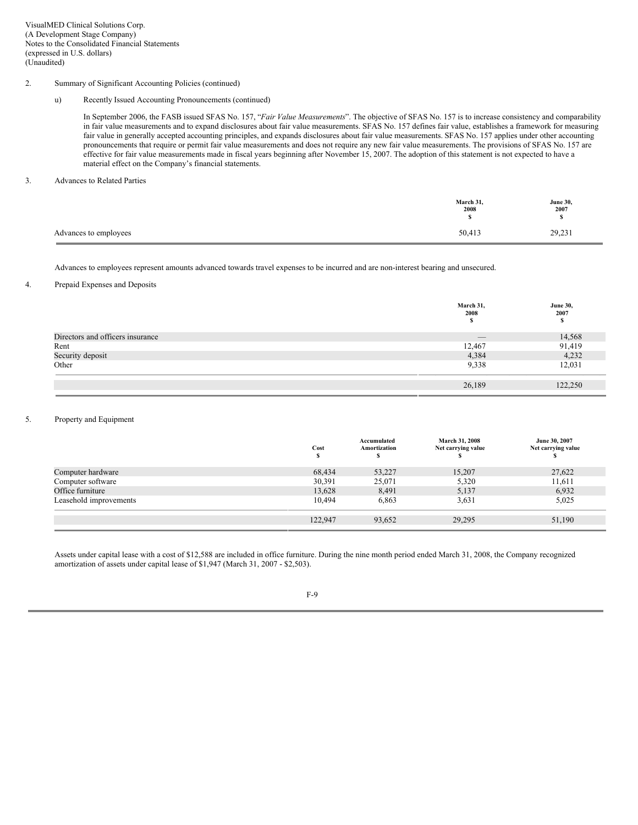## 2. Summary of Significant Accounting Policies (continued)

u) Recently Issued Accounting Pronouncements (continued)

In September 2006, the FASB issued SFAS No. 157, "*Fair Value Measurements*". The objective of SFAS No. 157 is to increase consistency and comparability in fair value measurements and to expand disclosures about fair value measurements. SFAS No. 157 defines fair value, establishes a framework for measuring fair value in generally accepted accounting principles, and expands disclosures about fair value measurements. SFAS No. 157 applies under other accounting pronouncements that require or permit fair value measurements and does not require any new fair value measurements. The provisions of SFAS No. 157 are effective for fair value measurements made in fiscal years beginning after November 15, 2007. The adoption of this statement is not expected to have a material effect on the Company's financial statements.

#### 3. Advances to Related Parties

|                       | March 31,<br>2008 | <b>June 30,</b><br>2007 |
|-----------------------|-------------------|-------------------------|
| Advances to employees | 50,413            | 29,231                  |

Advances to employees represent amounts advanced towards travel expenses to be incurred and are non-interest bearing and unsecured.

## 4. Prepaid Expenses and Deposits

|                                  | March 31,<br>2008 | <b>June 30,</b><br>2007 |
|----------------------------------|-------------------|-------------------------|
| Directors and officers insurance | $\qquad \qquad$   | 14,568                  |
| Rent                             | 12,467            | 91,419                  |
| Security deposit                 | 4,384             | 4,232                   |
| Other                            | 9,338             | 12,031                  |
|                                  | 26,189            | 122,250                 |

## 5. Property and Equipment

|                        | Cost<br>S | Accumulated<br>Amortization | March 31, 2008<br>Net carrying value | June 30, 2007<br>Net carrying value |
|------------------------|-----------|-----------------------------|--------------------------------------|-------------------------------------|
| Computer hardware      | 68,434    | 53,227                      | 15,207                               | 27,622                              |
| Computer software      | 30,391    | 25,071                      | 5,320                                | 11,611                              |
| Office furniture       | 13,628    | 8,491                       | 5,137                                | 6,932                               |
| Leasehold improvements | 10.494    | 6,863                       | 3,631                                | 5,025                               |
|                        | 122,947   | 93,652                      | 29,295                               | 51,190                              |

Assets under capital lease with a cost of \$12,588 are included in office furniture. During the nine month period ended March 31, 2008, the Company recognized amortization of assets under capital lease of \$1,947 (March 31, 2007 - \$2,503).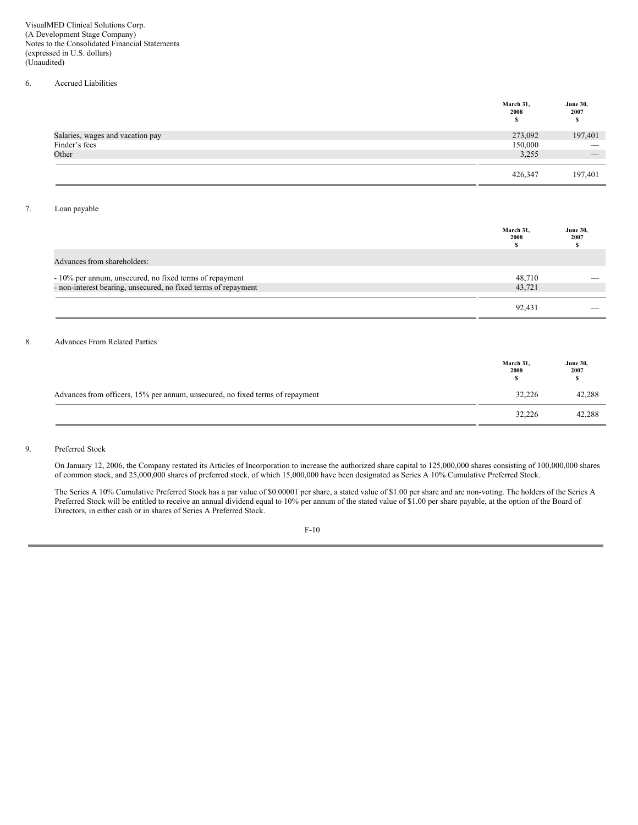## 6. Accrued Liabilities

|                                  | March 31,<br>2008 | <b>June 30,</b><br>2007         |
|----------------------------------|-------------------|---------------------------------|
| Salaries, wages and vacation pay | 273,092           | 197,401                         |
| Finder's fees                    | 150,000           | $\hspace{0.1mm}-\hspace{0.1mm}$ |
| Other                            | 3,255             | $\overline{\phantom{a}}$        |
|                                  |                   |                                 |
|                                  | 426.347           | 197,401                         |

#### 7. Loan payable

|                                                                | March 31,<br>2008 | <b>June 30,</b><br>2007 |
|----------------------------------------------------------------|-------------------|-------------------------|
| Advances from shareholders:                                    |                   |                         |
|                                                                |                   |                         |
| - 10% per annum, unsecured, no fixed terms of repayment        | 48,710            |                         |
| - non-interest bearing, unsecured, no fixed terms of repayment | 43,721            |                         |
|                                                                | 92.431            | _                       |

## 8. Advances From Related Parties

|                                                                               | March 31,<br>2008 | <b>June 30,</b><br>2007 |
|-------------------------------------------------------------------------------|-------------------|-------------------------|
| Advances from officers, 15% per annum, unsecured, no fixed terms of repayment | 32,226            | 42,288                  |
|                                                                               | 32,226            | 42,288                  |

## 9. Preferred Stock

On January 12, 2006, the Company restated its Articles of Incorporation to increase the authorized share capital to 125,000,000 shares consisting of 100,000,000 shares of common stock, and 25,000,000 shares of preferred stock, of which 15,000,000 have been designated as Series A 10% Cumulative Preferred Stock.

The Series A 10% Cumulative Preferred Stock has a par value of \$0.00001 per share, a stated value of \$1.00 per share and are non-voting. The holders of the Series A Preferred Stock will be entitled to receive an annual dividend equal to 10% per annum of the stated value of \$1.00 per share payable, at the option of the Board of Directors, in either cash or in shares of Series A Preferred Stock.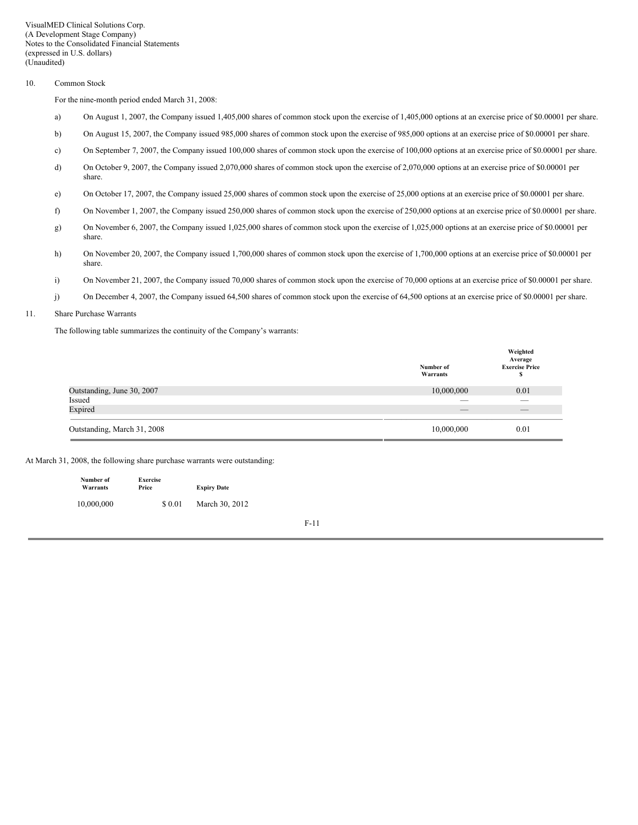#### 10. Common Stock

For the nine-month period ended March 31, 2008:

- a) On August 1, 2007, the Company issued 1,405,000 shares of common stock upon the exercise of 1,405,000 options at an exercise price of \$0.00001 per share.
- b) On August 15, 2007, the Company issued 985,000 shares of common stock upon the exercise of 985,000 options at an exercise price of \$0.00001 per share.
- c) On September 7, 2007, the Company issued 100,000 shares of common stock upon the exercise of 100,000 options at an exercise price of \$0.00001 per share.
- d) On October 9, 2007, the Company issued 2,070,000 shares of common stock upon the exercise of 2,070,000 options at an exercise price of \$0.00001 per share.
- e) On October 17, 2007, the Company issued 25,000 shares of common stock upon the exercise of 25,000 options at an exercise price of \$0.00001 per share.
- f) On November 1, 2007, the Company issued 250,000 shares of common stock upon the exercise of 250,000 options at an exercise price of \$0.00001 per share.
- g) On November 6, 2007, the Company issued 1,025,000 shares of common stock upon the exercise of 1,025,000 options at an exercise price of \$0.00001 per share.
- h) On November 20, 2007, the Company issued 1,700,000 shares of common stock upon the exercise of 1,700,000 options at an exercise price of \$0.00001 per share.
- i) On November 21, 2007, the Company issued 70,000 shares of common stock upon the exercise of 70,000 options at an exercise price of \$0.00001 per share.
- j) On December 4, 2007, the Company issued 64,500 shares of common stock upon the exercise of 64,500 options at an exercise price of \$0.00001 per share.

## 11. Share Purchase Warrants

The following table summarizes the continuity of the Company's warrants:

|                             | Number of<br>Warrants | Weighted<br>Average<br><b>Exercise Price</b><br>$\sqrt{2}$<br>æ |
|-----------------------------|-----------------------|-----------------------------------------------------------------|
| Outstanding, June 30, 2007  | 10,000,000            | 0.01                                                            |
| Issued                      | _                     | $\overline{\phantom{a}}$                                        |
| Expired                     | $-$                   | $-$                                                             |
|                             |                       |                                                                 |
| Outstanding, March 31, 2008 | 10,000,000            | 0.01                                                            |

At March 31, 2008, the following share purchase warrants were outstanding:

| Number of<br>Warrants | <b>Exercise</b><br>Price | <b>Expiry Date</b> |
|-----------------------|--------------------------|--------------------|
| 10,000,000            | \$ 0.01                  | March 30, 2012     |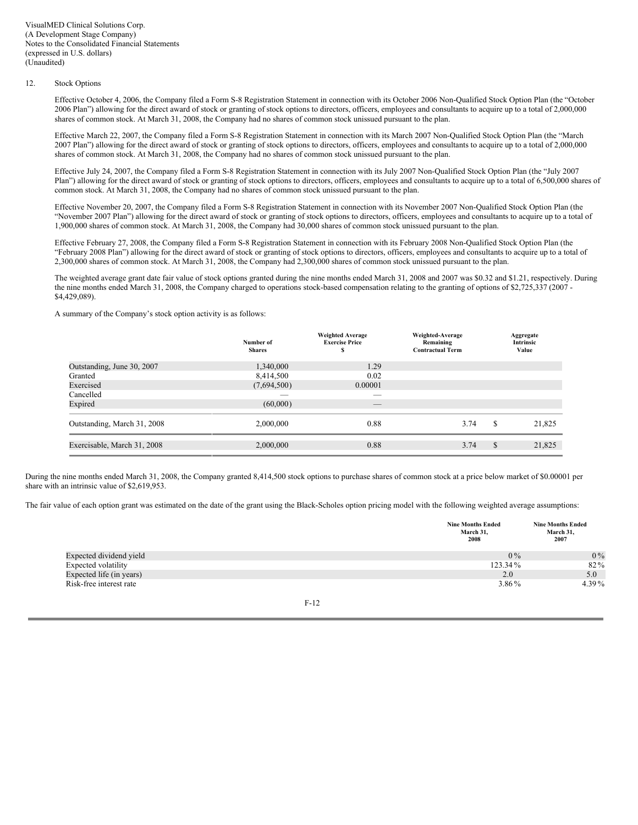#### 12. Stock Options

Effective October 4, 2006, the Company filed a Form S-8 Registration Statement in connection with its October 2006 Non-Qualified Stock Option Plan (the "October 2006 Plan") allowing for the direct award of stock or granting of stock options to directors, officers, employees and consultants to acquire up to a total of 2,000,000 shares of common stock. At March 31, 2008, the Company had no shares of common stock unissued pursuant to the plan.

Effective March 22, 2007, the Company filed a Form S-8 Registration Statement in connection with its March 2007 Non-Qualified Stock Option Plan (the "March 2007 Plan") allowing for the direct award of stock or granting of stock options to directors, officers, employees and consultants to acquire up to a total of 2,000,000 shares of common stock. At March 31, 2008, the Company had no shares of common stock unissued pursuant to the plan.

Effective July 24, 2007, the Company filed a Form S-8 Registration Statement in connection with its July 2007 Non-Qualified Stock Option Plan (the "July 2007 Plan") allowing for the direct award of stock or granting of stock options to directors, officers, employees and consultants to acquire up to a total of 6,500,000 shares of common stock. At March 31, 2008, the Company had no shares of common stock unissued pursuant to the plan.

Effective November 20, 2007, the Company filed a Form S-8 Registration Statement in connection with its November 2007 Non-Qualified Stock Option Plan (the "November 2007 Plan") allowing for the direct award of stock or granting of stock options to directors, officers, employees and consultants to acquire up to a total of 1,900,000 shares of common stock. At March 31, 2008, the Company had 30,000 shares of common stock unissued pursuant to the plan.

Effective February 27, 2008, the Company filed a Form S-8 Registration Statement in connection with its February 2008 Non-Qualified Stock Option Plan (the "February 2008 Plan") allowing for the direct award of stock or granting of stock options to directors, officers, employees and consultants to acquire up to a total of 2,300,000 shares of common stock. At March 31, 2008, the Company had 2,300,000 shares of common stock unissued pursuant to the plan.

The weighted average grant date fair value of stock options granted during the nine months ended March 31, 2008 and 2007 was \$0.32 and \$1.21, respectively. During the nine months ended March 31, 2008, the Company charged to operations stock-based compensation relating to the granting of options of \$2,725,337 (2007 -\$4,429,089).

A summary of the Company's stock option activity is as follows:

|                             | Number of<br><b>Shares</b> | <b>Weighted Average</b><br><b>Exercise Price</b><br>э | Weighted-Average<br>Remaining<br><b>Contractual Term</b> |    | Aggregate<br>Intrinsic<br>Value |
|-----------------------------|----------------------------|-------------------------------------------------------|----------------------------------------------------------|----|---------------------------------|
| Outstanding, June 30, 2007  | 1,340,000                  | 1.29                                                  |                                                          |    |                                 |
| Granted                     | 8,414,500                  | 0.02                                                  |                                                          |    |                                 |
| Exercised                   | (7,694,500)                | 0.00001                                               |                                                          |    |                                 |
| Cancelled                   | __                         | -                                                     |                                                          |    |                                 |
| Expired                     | (60,000)                   | $-$                                                   |                                                          |    |                                 |
| Outstanding, March 31, 2008 | 2,000,000                  | 0.88                                                  | 3.74                                                     | S  | 21,825                          |
| Exercisable, March 31, 2008 | 2,000,000                  | 0.88                                                  | 3.74                                                     | \$ | 21,825                          |

During the nine months ended March 31, 2008, the Company granted 8,414,500 stock options to purchase shares of common stock at a price below market of \$0.00001 per share with an intrinsic value of \$2,619,953.

The fair value of each option grant was estimated on the date of the grant using the Black-Scholes option pricing model with the following weighted average assumptions:

|                          | <b>Nine Months Ended</b><br>March 31,<br>2008 | <b>Nine Months Ended</b><br>March 31,<br>2007 |
|--------------------------|-----------------------------------------------|-----------------------------------------------|
| Expected dividend yield  | $0\%$                                         | $0\%$                                         |
| Expected volatility      | 123.34%                                       | 82%                                           |
| Expected life (in years) | 2.0                                           | 5.0                                           |
| Risk-free interest rate  | 3.86%                                         | $4.39\%$                                      |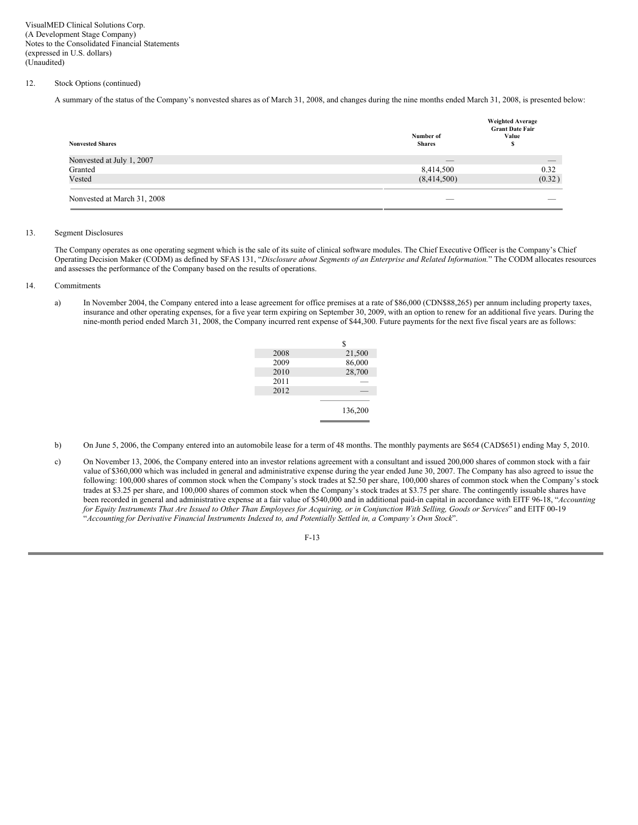#### 12. Stock Options (continued)

A summary of the status of the Company's nonvested shares as of March 31, 2008, and changes during the nine months ended March 31, 2008, is presented below:

| <b>Nonvested Shares</b>     | Number of<br><b>Shares</b> | <b>Weighted Average</b><br><b>Grant Date Fair</b><br>Value |
|-----------------------------|----------------------------|------------------------------------------------------------|
| Nonvested at July 1, 2007   | __                         | __                                                         |
| Granted                     | 8,414,500                  | 0.32                                                       |
| Vested                      | (8,414,500)                | (0.32)                                                     |
| Nonvested at March 31, 2008 | $\overline{\phantom{a}}$   |                                                            |

## 13. Segment Disclosures

The Company operates as one operating segment which is the sale of its suite of clinical software modules. The Chief Executive Officer is the Company's Chief Operating Decision Maker (CODM) as defined by SFAS 131, "*Disclosure about Segments of an Enterprise and Related Information.*" The CODM allocates resources and assesses the performance of the Company based on the results of operations.

## 14. Commitments

a) In November 2004, the Company entered into a lease agreement for office premises at a rate of \$86,000 (CDN\$88,265) per annum including property taxes, insurance and other operating expenses, for a five year term expiring on September 30, 2009, with an option to renew for an additional five years. During the nine-month period ended March 31, 2008, the Company incurred rent expense of \$44,300. Future payments for the next five fiscal years are as follows:

|      | S       |
|------|---------|
| 2008 | 21,500  |
| 2009 | 86,000  |
| 2010 | 28,700  |
| 2011 |         |
| 2012 |         |
|      |         |
|      | 136,200 |

- b) On June 5, 2006, the Company entered into an automobile lease for a term of 48 months. The monthly payments are \$654 (CAD\$651) ending May 5, 2010.
- c) On November 13, 2006, the Company entered into an investor relations agreement with a consultant and issued 200,000 shares of common stock with a fair value of \$360,000 which was included in general and administrative expense during the year ended June 30, 2007. The Company has also agreed to issue the following: 100,000 shares of common stock when the Company's stock trades at \$2.50 per share, 100,000 shares of common stock when the Company's stock trades at \$3.25 per share, and 100,000 shares of common stock when the Company's stock trades at \$3.75 per share. The contingently issuable shares have been recorded in general and administrative expense at a fair value of \$540,000 and in additional paid-in capital in accordance with EITF 96-18, "*Accounting* for Equity Instruments That Are Issued to Other Than Employees for Acquiring, or in Conjunction With Selling, Goods or Services" and EITF 00-19 "*Accounting for Derivative Financial Instruments Indexed to, and Potentially Settled in, a Company's Own Stock*".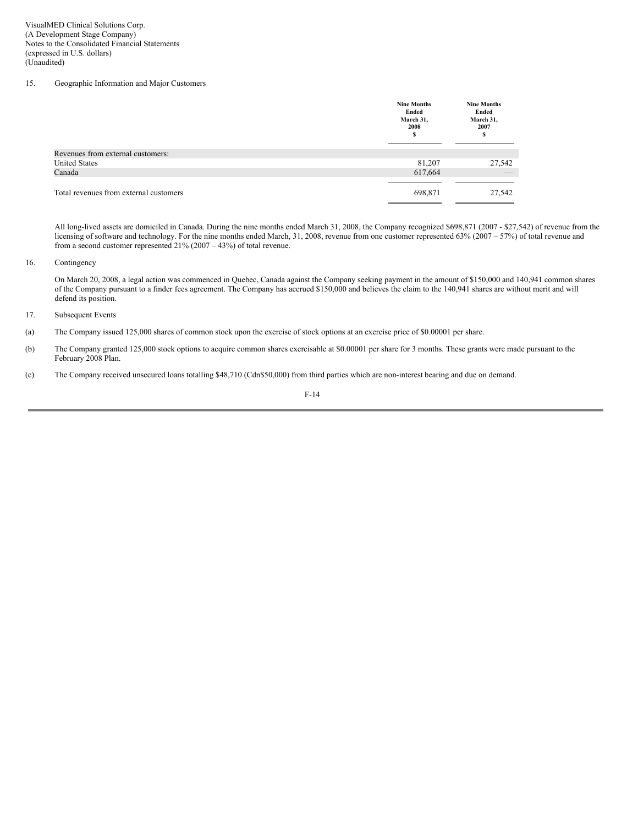#### 15. Geographic Information and Major Customers

|                                        | <b>Nine Months</b><br>Ended<br>March 31,<br>2008<br>S | <b>Nine Months</b><br>Ended<br>March 31,<br>2007<br>э |
|----------------------------------------|-------------------------------------------------------|-------------------------------------------------------|
| Revenues from external customers:      |                                                       |                                                       |
| <b>United States</b>                   | 81,207                                                | 27,542                                                |
| Canada                                 | 617,664                                               |                                                       |
|                                        |                                                       |                                                       |
| Total revenues from external customers | 698,871                                               | 27,542                                                |

All long-lived assets are domiciled in Canada. During the nine months ended March 31, 2008, the Company recognized \$698,871 (2007 - \$27,542) of revenue from the licensing of software and technology. For the nine months ended March, 31, 2008, revenue from one customer represented 63% (2007 – 57%) of total revenue and from a second customer represented 21% (2007 – 43%) of total revenue.

## 16. Contingency

On March 20, 2008, a legal action was commenced in Quebec, Canada against the Company seeking payment in the amount of \$150,000 and 140,941 common shares of the Company pursuant to a finder fees agreement. The Company has accrued \$150,000 and believes the claim to the 140,941 shares are without merit and will defend its position.

## 17. Subsequent Events

(a) The Company issued 125,000 shares of common stock upon the exercise of stock options at an exercise price of \$0.00001 per share.

(b) The Company granted 125,000 stock options to acquire common shares exercisable at \$0.00001 per share for 3 months. These grants were made pursuant to the February 2008 Plan.

(c) The Company received unsecured loans totalling \$48,710 (Cdn\$50,000) from third parties which are non-interest bearing and due on demand.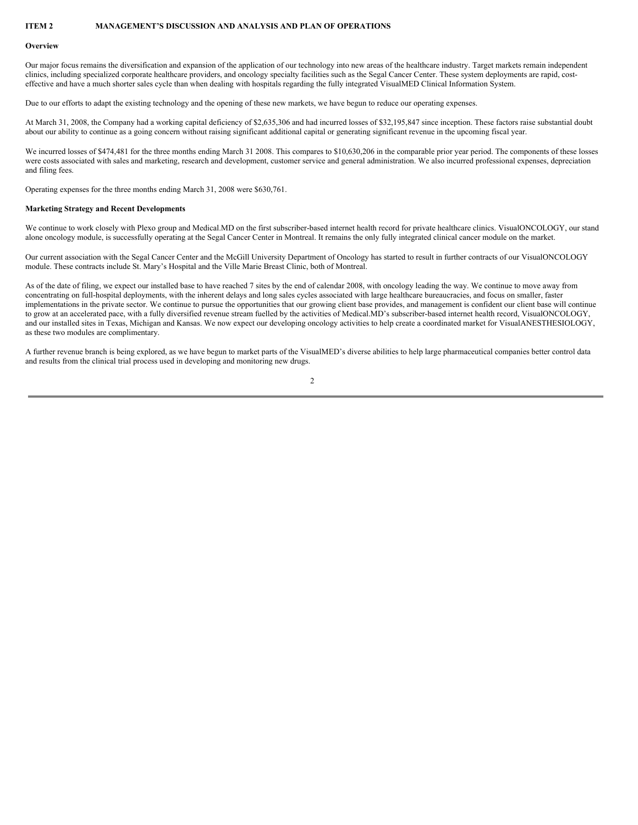**ITEM 2 MANAGEMENT'S DISCUSSION AND ANALYSIS AND PLAN OF OPERATIONS**

#### **Overview**

Our major focus remains the diversification and expansion of the application of our technology into new areas of the healthcare industry. Target markets remain independent clinics, including specialized corporate healthcare providers, and oncology specialty facilities such as the Segal Cancer Center. These system deployments are rapid, costeffective and have a much shorter sales cycle than when dealing with hospitals regarding the fully integrated VisualMED Clinical Information System.

Due to our efforts to adapt the existing technology and the opening of these new markets, we have begun to reduce our operating expenses.

At March 31, 2008, the Company had a working capital deficiency of \$2,635,306 and had incurred losses of \$32,195,847 since inception. These factors raise substantial doubt about our ability to continue as a going concern without raising significant additional capital or generating significant revenue in the upcoming fiscal year.

We incurred losses of \$474,481 for the three months ending March 31 2008. This compares to \$10,630,206 in the comparable prior year period. The components of these losses were costs associated with sales and marketing, research and development, customer service and general administration. We also incurred professional expenses, depreciation and filing fees.

Operating expenses for the three months ending March 31, 2008 were \$630,761.

## **Marketing Strategy and Recent Developments**

We continue to work closely with Plexo group and Medical.MD on the first subscriber-based internet health record for private healthcare clinics. VisualONCOLOGY, our stand alone oncology module, is successfully operating at the Segal Cancer Center in Montreal. It remains the only fully integrated clinical cancer module on the market.

Our current association with the Segal Cancer Center and the McGill University Department of Oncology has started to result in further contracts of our VisualONCOLOGY module. These contracts include St. Mary's Hospital and the Ville Marie Breast Clinic, both of Montreal.

As of the date of filing, we expect our installed base to have reached 7 sites by the end of calendar 2008, with oncology leading the way. We continue to move away from concentrating on full-hospital deployments, with the inherent delays and long sales cycles associated with large healthcare bureaucracies, and focus on smaller, faster implementations in the private sector. We continue to pursue the opportunities that our growing client base provides, and management is confident our client base will continue to grow at an accelerated pace, with a fully diversified revenue stream fuelled by the activities of Medical.MD's subscriber-based internet health record, VisualONCOLOGY, and our installed sites in Texas, Michigan and Kansas. We now expect our developing oncology activities to help create a coordinated market for VisualANESTHESIOLOGY, as these two modules are complimentary.

A further revenue branch is being explored, as we have begun to market parts of the VisualMED's diverse abilities to help large pharmaceutical companies better control data and results from the clinical trial process used in developing and monitoring new drugs.

| ł |
|---|
|   |
|   |
|   |
|   |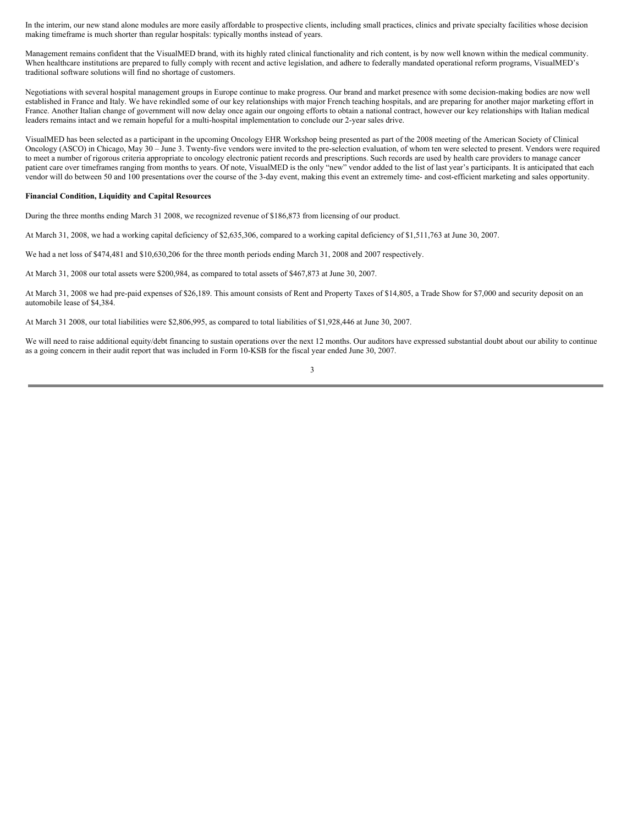In the interim, our new stand alone modules are more easily affordable to prospective clients, including small practices, clinics and private specialty facilities whose decision making timeframe is much shorter than regular hospitals: typically months instead of years.

Management remains confident that the VisualMED brand, with its highly rated clinical functionality and rich content, is by now well known within the medical community. When healthcare institutions are prepared to fully comply with recent and active legislation, and adhere to federally mandated operational reform programs, VisualMED's traditional software solutions will find no shortage of customers.

Negotiations with several hospital management groups in Europe continue to make progress. Our brand and market presence with some decision-making bodies are now well established in France and Italy. We have rekindled some of our key relationships with major French teaching hospitals, and are preparing for another major marketing effort in France. Another Italian change of government will now delay once again our ongoing efforts to obtain a national contract, however our key relationships with Italian medical leaders remains intact and we remain hopeful for a multi-hospital implementation to conclude our 2-year sales drive.

VisualMED has been selected as a participant in the upcoming Oncology EHR Workshop being presented as part of the 2008 meeting of the American Society of Clinical Oncology (ASCO) in Chicago, May 30 – June 3. Twenty-five vendors were invited to the pre-selection evaluation, of whom ten were selected to present. Vendors were required to meet a number of rigorous criteria appropriate to oncology electronic patient records and prescriptions. Such records are used by health care providers to manage cancer patient care over timeframes ranging from months to years. Of note, VisualMED is the only "new" vendor added to the list of last year's participants. It is anticipated that each vendor will do between 50 and 100 presentations over the course of the 3-day event, making this event an extremely time- and cost-efficient marketing and sales opportunity.

#### **Financial Condition, Liquidity and Capital Resources**

During the three months ending March 31 2008, we recognized revenue of \$186,873 from licensing of our product.

At March 31, 2008, we had a working capital deficiency of \$2,635,306, compared to a working capital deficiency of \$1,511,763 at June 30, 2007.

We had a net loss of \$474,481 and \$10,630,206 for the three month periods ending March 31, 2008 and 2007 respectively.

At March 31, 2008 our total assets were \$200,984, as compared to total assets of \$467,873 at June 30, 2007.

At March 31, 2008 we had pre-paid expenses of \$26,189. This amount consists of Rent and Property Taxes of \$14,805, a Trade Show for \$7,000 and security deposit on an automobile lease of \$4,384.

At March 31 2008, our total liabilities were \$2,806,995, as compared to total liabilities of \$1,928,446 at June 30, 2007.

We will need to raise additional equity/debt financing to sustain operations over the next 12 months. Our auditors have expressed substantial doubt about our ability to continue as a going concern in their audit report that was included in Form 10-KSB for the fiscal year ended June 30, 2007.

3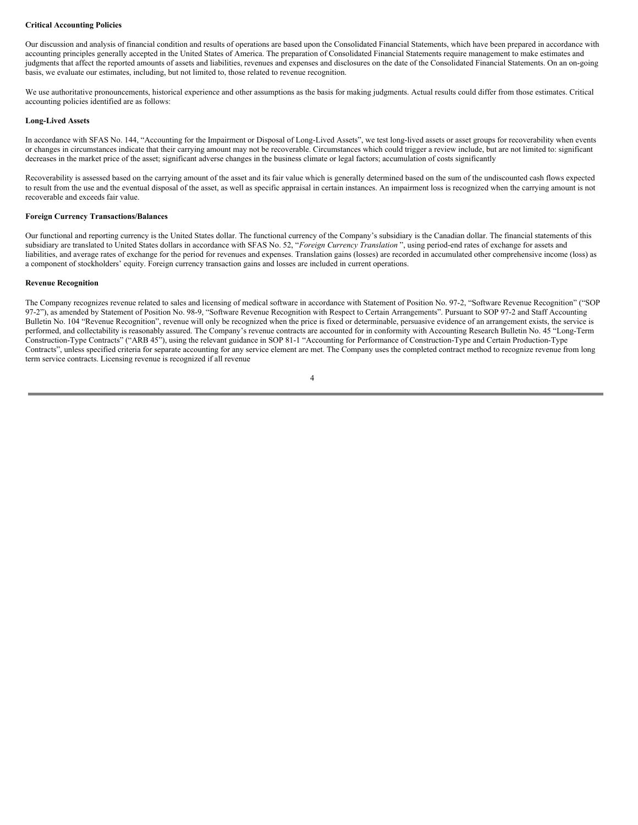#### **Critical Accounting Policies**

Our discussion and analysis of financial condition and results of operations are based upon the Consolidated Financial Statements, which have been prepared in accordance with accounting principles generally accepted in the United States of America. The preparation of Consolidated Financial Statements require management to make estimates and judgments that affect the reported amounts of assets and liabilities, revenues and expenses and disclosures on the date of the Consolidated Financial Statements. On an on-going basis, we evaluate our estimates, including, but not limited to, those related to revenue recognition.

We use authoritative pronouncements, historical experience and other assumptions as the basis for making judgments. Actual results could differ from those estimates. Critical accounting policies identified are as follows:

#### **Long-Lived Assets**

In accordance with SFAS No. 144, "Accounting for the Impairment or Disposal of Long-Lived Assets", we test long-lived assets or asset groups for recoverability when events or changes in circumstances indicate that their carrying amount may not be recoverable. Circumstances which could trigger a review include, but are not limited to: significant decreases in the market price of the asset; significant adverse changes in the business climate or legal factors; accumulation of costs significantly

Recoverability is assessed based on the carrying amount of the asset and its fair value which is generally determined based on the sum of the undiscounted cash flows expected to result from the use and the eventual disposal of the asset, as well as specific appraisal in certain instances. An impairment loss is recognized when the carrying amount is not recoverable and exceeds fair value.

## **Foreign Currency Transactions/Balances**

Our functional and reporting currency is the United States dollar. The functional currency of the Company's subsidiary is the Canadian dollar. The financial statements of this subsidiary are translated to United States dollars in accordance with SFAS No. 52, "*Foreign Currency Translation* ", using period-end rates of exchange for assets and liabilities, and average rates of exchange for the period for revenues and expenses. Translation gains (losses) are recorded in accumulated other comprehensive income (loss) as a component of stockholders' equity. Foreign currency transaction gains and losses are included in current operations.

#### **Revenue Recognition**

The Company recognizes revenue related to sales and licensing of medical software in accordance with Statement of Position No. 97-2, "Software Revenue Recognition" ("SOP 97-2"), as amended by Statement of Position No. 98-9, "Software Revenue Recognition with Respect to Certain Arrangements". Pursuant to SOP 97-2 and Staff Accounting Bulletin No. 104 "Revenue Recognition", revenue will only be recognized when the price is fixed or determinable, persuasive evidence of an arrangement exists, the service is performed, and collectability is reasonably assured. The Company's revenue contracts are accounted for in conformity with Accounting Research Bulletin No. 45 "Long-Term Construction-Type Contracts" ("ARB 45"), using the relevant guidance in SOP 81-1 "Accounting for Performance of Construction-Type and Certain Production-Type Contracts", unless specified criteria for separate accounting for any service element are met. The Company uses the completed contract method to recognize revenue from long term service contracts. Licensing revenue is recognized if all revenue

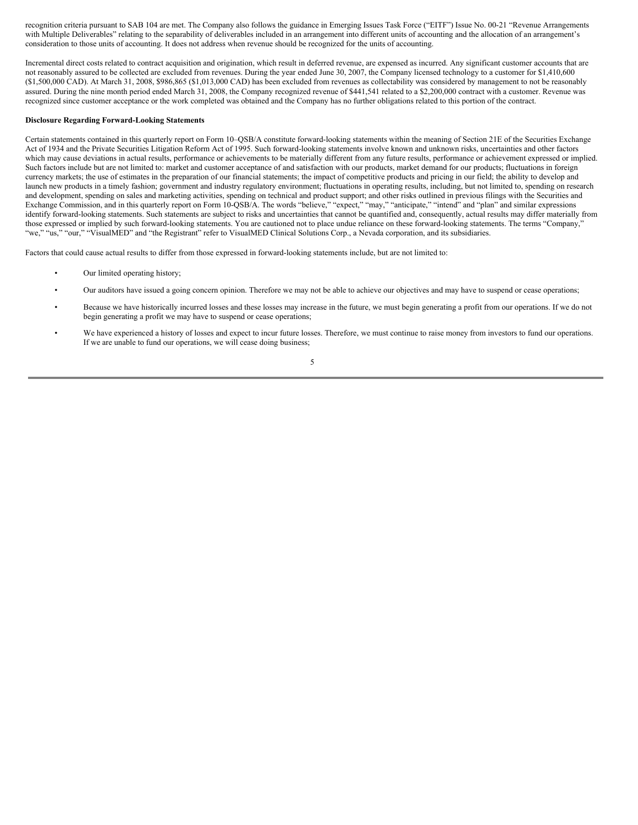recognition criteria pursuant to SAB 104 are met. The Company also follows the guidance in Emerging Issues Task Force ("EITF") Issue No. 00-21 "Revenue Arrangements with Multiple Deliverables" relating to the separability of deliverables included in an arrangement into different units of accounting and the allocation of an arrangement's consideration to those units of accounting. It does not address when revenue should be recognized for the units of accounting.

Incremental direct costs related to contract acquisition and origination, which result in deferred revenue, are expensed as incurred. Any significant customer accounts that are not reasonably assured to be collected are excluded from revenues. During the year ended June 30, 2007, the Company licensed technology to a customer for \$1,410,600 (\$1,500,000 CAD). At March 31, 2008, \$986,865 (\$1,013,000 CAD) has been excluded from revenues as collectability was considered by management to not be reasonably assured. During the nine month period ended March 31, 2008, the Company recognized revenue of \$441,541 related to a \$2,200,000 contract with a customer. Revenue was recognized since customer acceptance or the work completed was obtained and the Company has no further obligations related to this portion of the contract.

#### **Disclosure Regarding Forward-Looking Statements**

Certain statements contained in this quarterly report on Form 10–QSB/A constitute forward-looking statements within the meaning of Section 21E of the Securities Exchange Act of 1934 and the Private Securities Litigation Reform Act of 1995. Such forward-looking statements involve known and unknown risks, uncertainties and other factors which may cause deviations in actual results, performance or achievements to be materially different from any future results, performance or achievement expressed or implied. Such factors include but are not limited to: market and customer acceptance of and satisfaction with our products, market demand for our products; fluctuations in foreign currency markets; the use of estimates in the preparation of our financial statements; the impact of competitive products and pricing in our field; the ability to develop and launch new products in a timely fashion; government and industry regulatory environment; fluctuations in operating results, including, but not limited to, spending on research and development, spending on sales and marketing activities, spending on technical and product support; and other risks outlined in previous filings with the Securities and Exchange Commission, and in this quarterly report on Form 10-QSB/A. The words "believe," "expect," "may," "anticipate," "intend" and "plan" and similar expressions identify forward-looking statements. Such statements are subject to risks and uncertainties that cannot be quantified and, consequently, actual results may differ materially from those expressed or implied by such forward-looking statements. You are cautioned not to place undue reliance on these forward-looking statements. The terms "Company," "we," "us," "our," "VisualMED" and "the Registrant" refer to VisualMED Clinical Solutions Corp., a Nevada corporation, and its subsidiaries.

Factors that could cause actual results to differ from those expressed in forward-looking statements include, but are not limited to:

- Our limited operating history;
- Our auditors have issued a going concern opinion. Therefore we may not be able to achieve our objectives and may have to suspend or cease operations;
- Because we have historically incurred losses and these losses may increase in the future, we must begin generating a profit from our operations. If we do not begin generating a profit we may have to suspend or cease operations;
- We have experienced a history of losses and expect to incur future losses. Therefore, we must continue to raise money from investors to fund our operations. If we are unable to fund our operations, we will cease doing business;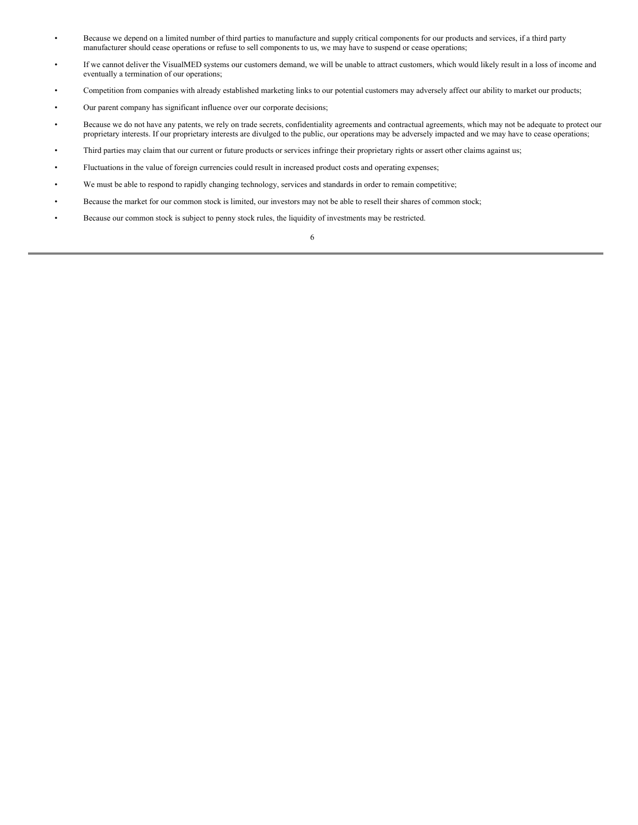- Because we depend on a limited number of third parties to manufacture and supply critical components for our products and services, if a third party manufacturer should cease operations or refuse to sell components to us, we may have to suspend or cease operations;
- If we cannot deliver the VisualMED systems our customers demand, we will be unable to attract customers, which would likely result in a loss of income and eventually a termination of our operations;
- Competition from companies with already established marketing links to our potential customers may adversely affect our ability to market our products;
- Our parent company has significant influence over our corporate decisions;
- Because we do not have any patents, we rely on trade secrets, confidentiality agreements and contractual agreements, which may not be adequate to protect our proprietary interests. If our proprietary interests are divulged to the public, our operations may be adversely impacted and we may have to cease operations;
- Third parties may claim that our current or future products or services infringe their proprietary rights or assert other claims against us;
- Fluctuations in the value of foreign currencies could result in increased product costs and operating expenses;
- We must be able to respond to rapidly changing technology, services and standards in order to remain competitive;
- Because the market for our common stock is limited, our investors may not be able to resell their shares of common stock;
- Because our common stock is subject to penny stock rules, the liquidity of investments may be restricted.

6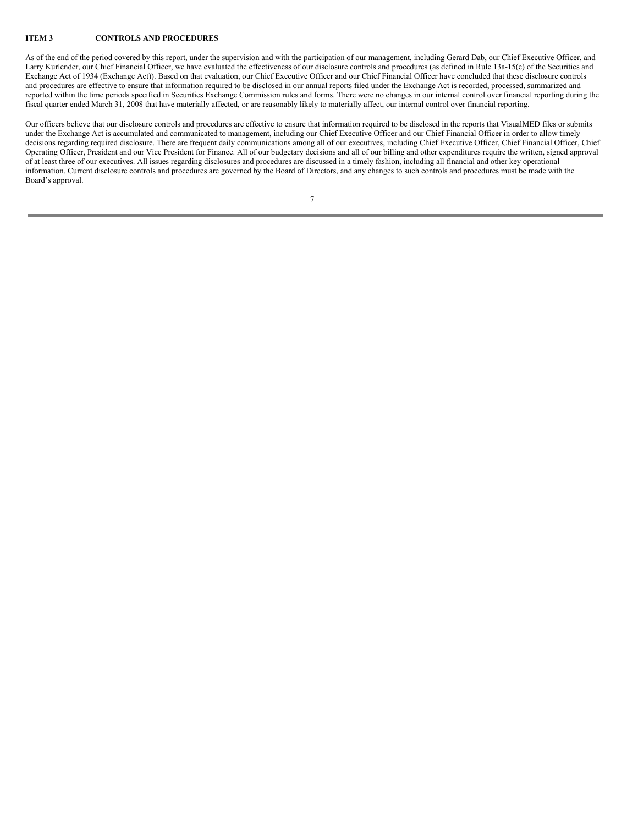## **ITEM 3 CONTROLS AND PROCEDURES**

As of the end of the period covered by this report, under the supervision and with the participation of our management, including Gerard Dab, our Chief Executive Officer, and Larry Kurlender, our Chief Financial Officer, we have evaluated the effectiveness of our disclosure controls and procedures (as defined in Rule 13a-15(e) of the Securities and Exchange Act of 1934 (Exchange Act)). Based on that evaluation, our Chief Executive Officer and our Chief Financial Officer have concluded that these disclosure controls and procedures are effective to ensure that information required to be disclosed in our annual reports filed under the Exchange Act is recorded, processed, summarized and reported within the time periods specified in Securities Exchange Commission rules and forms. There were no changes in our internal control over financial reporting during the fiscal quarter ended March 31, 2008 that have materially affected, or are reasonably likely to materially affect, our internal control over financial reporting.

Our officers believe that our disclosure controls and procedures are effective to ensure that information required to be disclosed in the reports that VisualMED files or submits under the Exchange Act is accumulated and communicated to management, including our Chief Executive Officer and our Chief Financial Officer in order to allow timely decisions regarding required disclosure. There are frequent daily communications among all of our executives, including Chief Executive Officer, Chief Financial Officer, Chief Operating Officer, President and our Vice President for Finance. All of our budgetary decisions and all of our billing and other expenditures require the written, signed approval of at least three of our executives. All issues regarding disclosures and procedures are discussed in a timely fashion, including all financial and other key operational information. Current disclosure controls and procedures are governed by the Board of Directors, and any changes to such controls and procedures must be made with the Board's approval.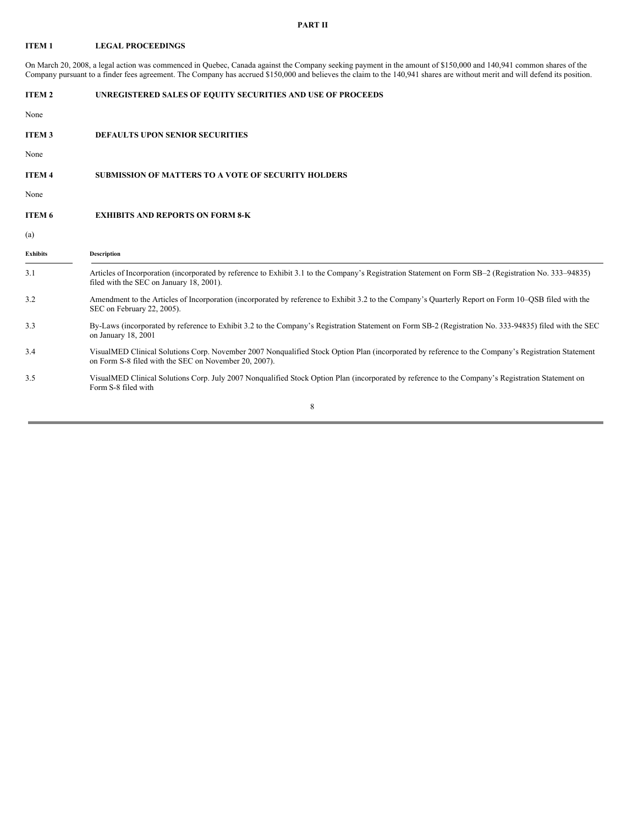## **PART II**

# **ITEM 1 LEGAL PROCEEDINGS**

On March 20, 2008, a legal action was commenced in Quebec, Canada against the Company seeking payment in the amount of \$150,000 and 140,941 common shares of the Company pursuant to a finder fees agreement. The Company has accrued \$150,000 and believes the claim to the 140,941 shares are without merit and will defend its position.

| <b>ITEM2</b>    | UNREGISTERED SALES OF EQUITY SECURITIES AND USE OF PROCEEDS                                                                                                                                                 |
|-----------------|-------------------------------------------------------------------------------------------------------------------------------------------------------------------------------------------------------------|
| None            |                                                                                                                                                                                                             |
| <b>ITEM3</b>    | <b>DEFAULTS UPON SENIOR SECURITIES</b>                                                                                                                                                                      |
| None            |                                                                                                                                                                                                             |
| <b>ITEM 4</b>   | <b>SUBMISSION OF MATTERS TO A VOTE OF SECURITY HOLDERS</b>                                                                                                                                                  |
| None            |                                                                                                                                                                                                             |
| ITEM 6          | <b>EXHIBITS AND REPORTS ON FORM 8-K</b>                                                                                                                                                                     |
| (a)             |                                                                                                                                                                                                             |
| <b>Exhibits</b> | Description                                                                                                                                                                                                 |
|                 |                                                                                                                                                                                                             |
| 3.1             | Articles of Incorporation (incorporated by reference to Exhibit 3.1 to the Company's Registration Statement on Form SB-2 (Registration No. 333–94835)<br>filed with the SEC on January 18, 2001).           |
| 3.2             | Amendment to the Articles of Incorporation (incorporated by reference to Exhibit 3.2 to the Company's Quarterly Report on Form 10–OSB filed with the<br>SEC on February 22, 2005).                          |
| 3.3             | By-Laws (incorporated by reference to Exhibit 3.2 to the Company's Registration Statement on Form SB-2 (Registration No. 333-94835) filed with the SEC<br>on January 18, 2001                               |
| 3.4             | VisualMED Clinical Solutions Corp. November 2007 Nonqualified Stock Option Plan (incorporated by reference to the Company's Registration Statement<br>on Form S-8 filed with the SEC on November 20, 2007). |
| 3.5             | VisualMED Clinical Solutions Corp. July 2007 Nonqualified Stock Option Plan (incorporated by reference to the Company's Registration Statement on<br>Form S-8 filed with                                    |

8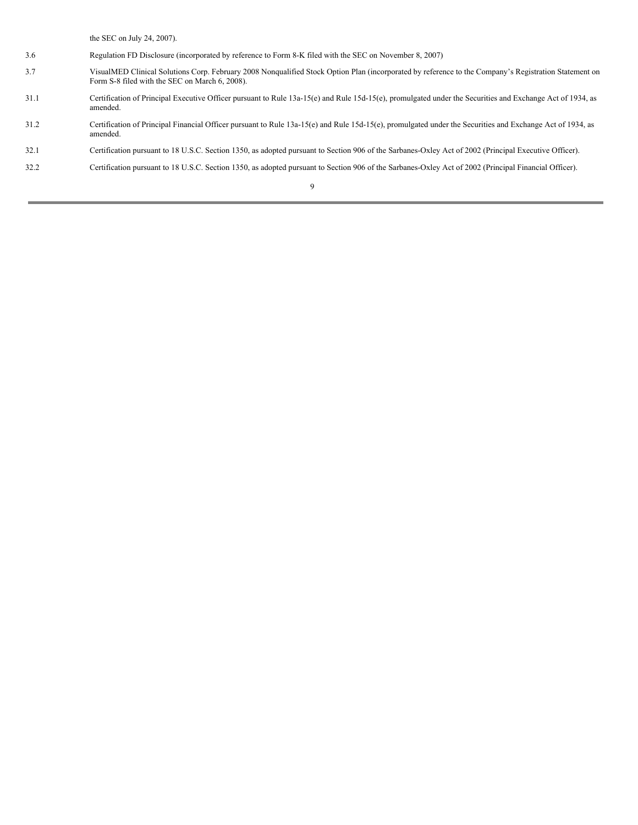the SEC on July 24, 2007).

- 3.6 Regulation FD Disclosure (incorporated by reference to Form 8-K filed with the SEC on November 8, 2007)
- 3.7 VisualMED Clinical Solutions Corp. February 2008 Nonqualified Stock Option Plan (incorporated by reference to the Company's Registration Statement on Form S-8 filed with the SEC on March 6, 2008).
- 31.1 Certification of Principal Executive Officer pursuant to Rule 13a-15(e) and Rule 15d-15(e), promulgated under the Securities and Exchange Act of 1934, as amended.
- 31.2 Certification of Principal Financial Officer pursuant to Rule 13a-15(e) and Rule 15d-15(e), promulgated under the Securities and Exchange Act of 1934, as amended.
- 32.1 Certification pursuant to 18 U.S.C. Section 1350, as adopted pursuant to Section 906 of the Sarbanes-Oxley Act of 2002 (Principal Executive Officer).
- 32.2 Certification pursuant to 18 U.S.C. Section 1350, as adopted pursuant to Section 906 of the Sarbanes-Oxley Act of 2002 (Principal Financial Officer).

9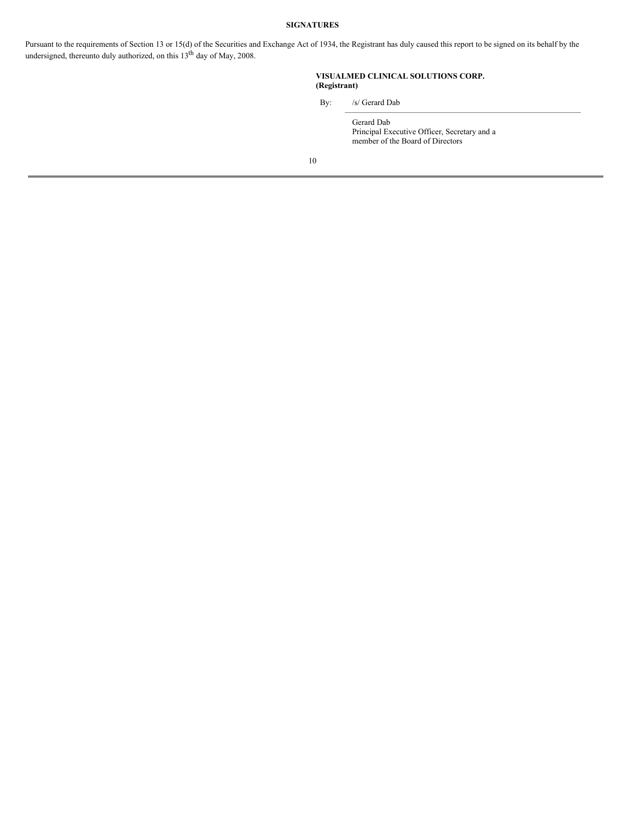#### **SIGNATURES**

Pursuant to the requirements of Section 13 or 15(d) of the Securities and Exchange Act of 1934, the Registrant has duly caused this report to be signed on its behalf by the undersigned, thereunto duly authorized, on this  $13<sup>th</sup>$  day of May, 2008.

## **VISUALMED CLINICAL SOLUTIONS CORP. (Registrant)**

By: /s/ Gerard Dab

Gerard Dab Principal Executive Officer, Secretary and a member of the Board of Directors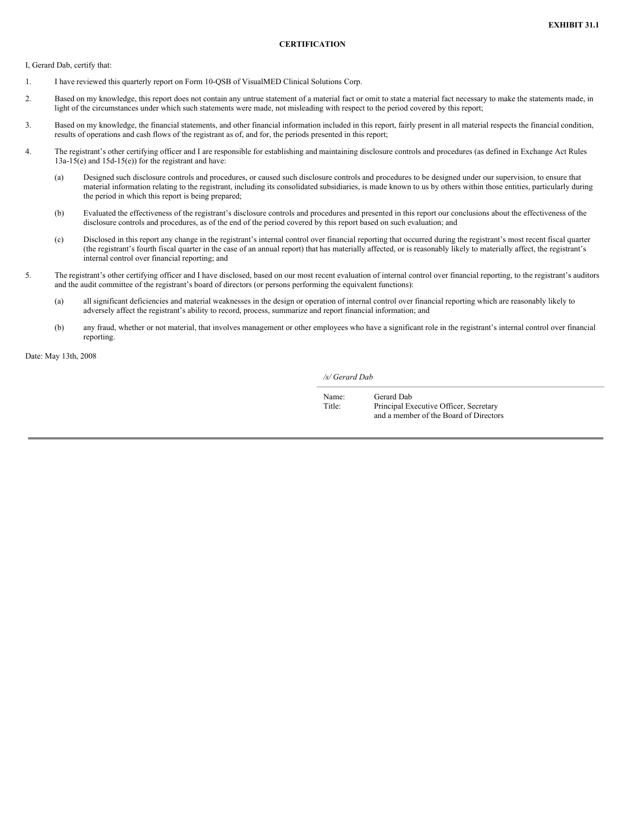I, Gerard Dab, certify that:

- 1. I have reviewed this quarterly report on Form 10-QSB of VisualMED Clinical Solutions Corp.
- 2. Based on my knowledge, this report does not contain any untrue statement of a material fact or omit to state a material fact necessary to make the statements made, in light of the circumstances under which such statements were made, not misleading with respect to the period covered by this report;
- 3. Based on my knowledge, the financial statements, and other financial information included in this report, fairly present in all material respects the financial condition, results of operations and cash flows of the registrant as of, and for, the periods presented in this report;
- 4. The registrant's other certifying officer and I are responsible for establishing and maintaining disclosure controls and procedures (as defined in Exchange Act Rules 13a-15(e) and 15d-15(e)) for the registrant and have:
	- (a) Designed such disclosure controls and procedures, or caused such disclosure controls and procedures to be designed under our supervision, to ensure that material information relating to the registrant, including its consolidated subsidiaries, is made known to us by others within those entities, particularly during the period in which this report is being prepared;
	- (b) Evaluated the effectiveness of the registrant's disclosure controls and procedures and presented in this report our conclusions about the effectiveness of the disclosure controls and procedures, as of the end of the period covered by this report based on such evaluation; and
	- (c) Disclosed in this report any change in the registrant's internal control over financial reporting that occurred during the registrant's most recent fiscal quarter (the registrant's fourth fiscal quarter in the case of an annual report) that has materially affected, or is reasonably likely to materially affect, the registrant's internal control over financial reporting; and
- 5. The registrant's other certifying officer and I have disclosed, based on our most recent evaluation of internal control over financial reporting, to the registrant's auditors and the audit committee of the registrant's board of directors (or persons performing the equivalent functions):
	- (a) all significant deficiencies and material weaknesses in the design or operation of internal control over financial reporting which are reasonably likely to adversely affect the registrant's ability to record, process, summarize and report financial information; and
	- (b) any fraud, whether or not material, that involves management or other employees who have a significant role in the registrant's internal control over financial reporting.

Date: May 13th, 2008

*/s/ Gerard Dab*

Name: Gerard Dab Title: Principal Executive Officer, Secretary and a member of the Board of Directors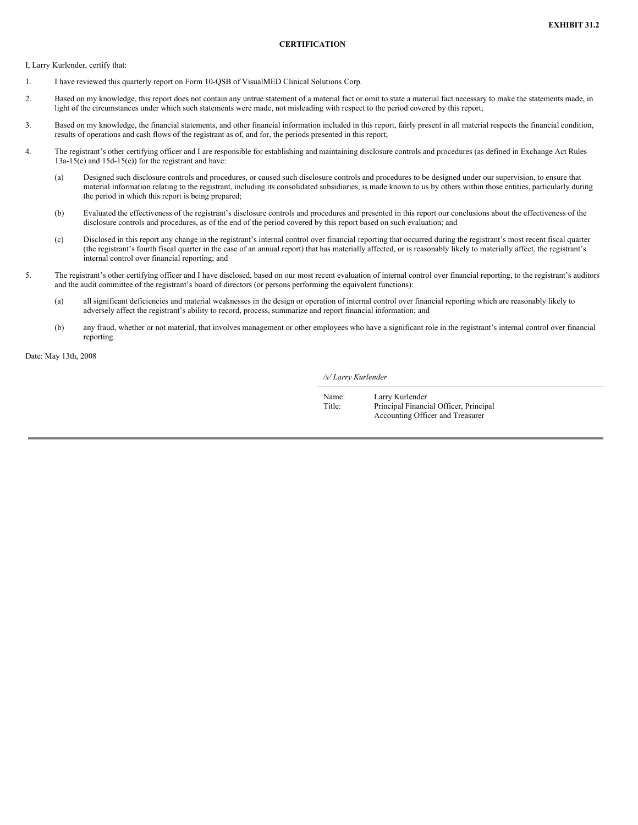I, Larry Kurlender, certify that:

- 1. I have reviewed this quarterly report on Form 10-QSB of VisualMED Clinical Solutions Corp.
- 2. Based on my knowledge, this report does not contain any untrue statement of a material fact or omit to state a material fact necessary to make the statements made, in light of the circumstances under which such statements were made, not misleading with respect to the period covered by this report;
- 3. Based on my knowledge, the financial statements, and other financial information included in this report, fairly present in all material respects the financial condition, results of operations and cash flows of the registrant as of, and for, the periods presented in this report;
- 4. The registrant's other certifying officer and I are responsible for establishing and maintaining disclosure controls and procedures (as defined in Exchange Act Rules 13a-15(e) and 15d-15(e)) for the registrant and have:
	- (a) Designed such disclosure controls and procedures, or caused such disclosure controls and procedures to be designed under our supervision, to ensure that material information relating to the registrant, including its consolidated subsidiaries, is made known to us by others within those entities, particularly during the period in which this report is being prepared;
	- (b) Evaluated the effectiveness of the registrant's disclosure controls and procedures and presented in this report our conclusions about the effectiveness of the disclosure controls and procedures, as of the end of the period covered by this report based on such evaluation; and
	- (c) Disclosed in this report any change in the registrant's internal control over financial reporting that occurred during the registrant's most recent fiscal quarter (the registrant's fourth fiscal quarter in the case of an annual report) that has materially affected, or is reasonably likely to materially affect, the registrant's internal control over financial reporting; and
- 5. The registrant's other certifying officer and I have disclosed, based on our most recent evaluation of internal control over financial reporting, to the registrant's auditors and the audit committee of the registrant's board of directors (or persons performing the equivalent functions):
	- (a) all significant deficiencies and material weaknesses in the design or operation of internal control over financial reporting which are reasonably likely to adversely affect the registrant's ability to record, process, summarize and report financial information; and
	- (b) any fraud, whether or not material, that involves management or other employees who have a significant role in the registrant's internal control over financial reporting.

Date: May 13th, 2008

*/s/ Larry Kurlender*

Name: Larry Kurlender Title: Principal Financial Officer, Principal Accounting Officer and Treasurer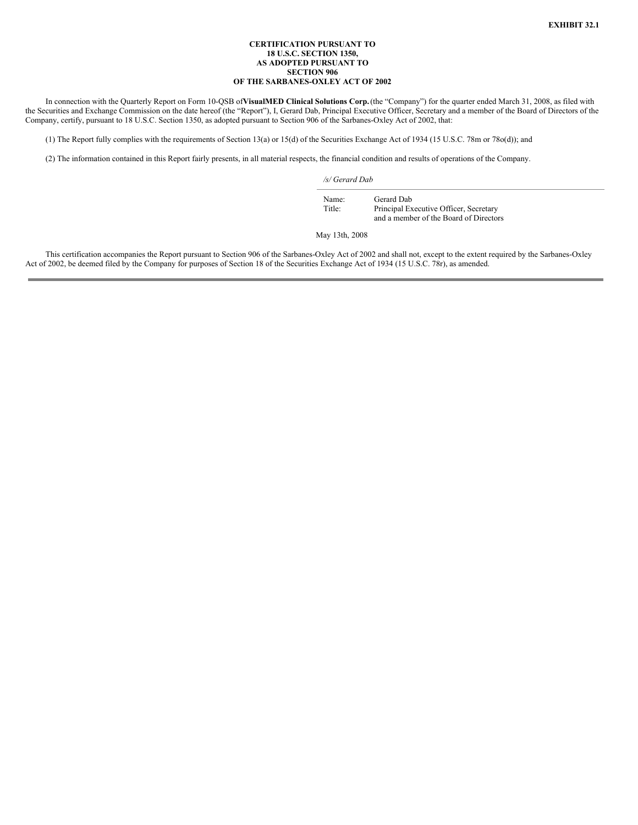#### **CERTIFICATION PURSUANT TO 18 U.S.C. SECTION 1350, AS ADOPTED PURSUANT TO SECTION 906 OF THE SARBANES-OXLEY ACT OF 2002**

In connection with the Quarterly Report on Form 10-QSB of**VisualMED Clinical Solutions Corp.**(the "Company") for the quarter ended March 31, 2008, as filed with the Securities and Exchange Commission on the date hereof (the "Report"), I, Gerard Dab, Principal Executive Officer, Secretary and a member of the Board of Directors of the Company, certify, pursuant to 18 U.S.C. Section 1350, as adopted pursuant to Section 906 of the Sarbanes-Oxley Act of 2002, that:

(1) The Report fully complies with the requirements of Section 13(a) or 15(d) of the Securities Exchange Act of 1934 (15 U.S.C. 78m or 78o(d)); and

(2) The information contained in this Report fairly presents, in all material respects, the financial condition and results of operations of the Company.

*/s/ Gerard Dab*

Name: Gerard Dab Title: Principal Executive Officer, Secretary and a member of the Board of Directors

May 13th, 2008

This certification accompanies the Report pursuant to Section 906 of the Sarbanes-Oxley Act of 2002 and shall not, except to the extent required by the Sarbanes-Oxley Act of 2002, be deemed filed by the Company for purposes of Section 18 of the Securities Exchange Act of 1934 (15 U.S.C. 78r), as amended.